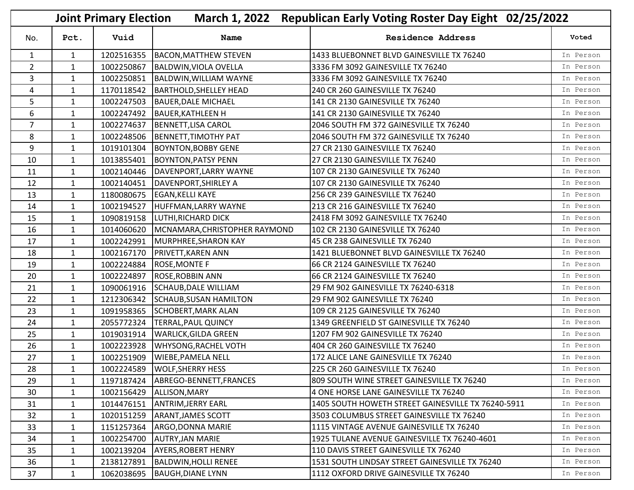| March 1, 2022 Republican Early Voting Roster Day Eight 02/25/2022<br><b>Joint Primary Election</b> |              |            |                               |                                                    |           |
|----------------------------------------------------------------------------------------------------|--------------|------------|-------------------------------|----------------------------------------------------|-----------|
| No.                                                                                                | Pct.         | Vuid       | Name                          | <b>Residence Address</b>                           | Voted     |
| $\mathbf{1}$                                                                                       | $\mathbf{1}$ | 1202516355 | <b>BACON, MATTHEW STEVEN</b>  | 1433 BLUEBONNET BLVD GAINESVILLE TX 76240          | In Person |
| $\overline{2}$                                                                                     | $\mathbf{1}$ | 1002250867 | <b>BALDWIN, VIOLA OVELLA</b>  | 3336 FM 3092 GAINESVILLE TX 76240                  | In Person |
| 3                                                                                                  | $\mathbf{1}$ | 1002250851 | <b>BALDWIN, WILLIAM WAYNE</b> | 3336 FM 3092 GAINESVILLE TX 76240                  | In Person |
| 4                                                                                                  | $\mathbf{1}$ | 1170118542 | <b>BARTHOLD, SHELLEY HEAD</b> | 240 CR 260 GAINESVILLE TX 76240                    | In Person |
| 5                                                                                                  | $\mathbf{1}$ | 1002247503 | <b>BAUER, DALE MICHAEL</b>    | 141 CR 2130 GAINESVILLE TX 76240                   | In Person |
| 6                                                                                                  | $\mathbf{1}$ | 1002247492 | <b>BAUER, KATHLEEN H</b>      | 141 CR 2130 GAINESVILLE TX 76240                   | In Person |
| $\overline{7}$                                                                                     | $\mathbf{1}$ | 1002274637 | BENNETT, LISA CAROL           | 2046 SOUTH FM 372 GAINESVILLE TX 76240             | In Person |
| 8                                                                                                  | $\mathbf{1}$ | 1002248506 | <b>BENNETT, TIMOTHY PAT</b>   | 2046 SOUTH FM 372 GAINESVILLE TX 76240             | In Person |
| 9                                                                                                  | $\mathbf{1}$ | 1019101304 | <b>BOYNTON, BOBBY GENE</b>    | 27 CR 2130 GAINESVILLE TX 76240                    | In Person |
| 10                                                                                                 | $\mathbf{1}$ | 1013855401 | <b>BOYNTON, PATSY PENN</b>    | 27 CR 2130 GAINESVILLE TX 76240                    | In Person |
| 11                                                                                                 | $\mathbf{1}$ | 1002140446 | DAVENPORT, LARRY WAYNE        | 107 CR 2130 GAINESVILLE TX 76240                   | In Person |
| 12                                                                                                 | $\mathbf{1}$ | 1002140451 | DAVENPORT, SHIRLEY A          | 107 CR 2130 GAINESVILLE TX 76240                   | In Person |
| 13                                                                                                 | $\mathbf{1}$ | 1180080675 | <b>EGAN, KELLI KAYE</b>       | 256 CR 239 GAINESVILLE TX 76240                    | In Person |
| 14                                                                                                 | $\mathbf{1}$ | 1002194527 | HUFFMAN, LARRY WAYNE          | 213 CR 216 GAINESVILLE TX 76240                    | In Person |
| 15                                                                                                 | $\mathbf{1}$ | 1090819158 | LUTHI, RICHARD DICK           | 2418 FM 3092 GAINESVILLE TX 76240                  | In Person |
| 16                                                                                                 | $\mathbf{1}$ | 1014060620 | MCNAMARA, CHRISTOPHER RAYMOND | 102 CR 2130 GAINESVILLE TX 76240                   | In Person |
| 17                                                                                                 | $\mathbf{1}$ | 1002242991 | MURPHREE, SHARON KAY          | 45 CR 238 GAINESVILLE TX 76240                     | In Person |
| 18                                                                                                 | $\mathbf{1}$ | 1002167170 | <b>PRIVETT, KAREN ANN</b>     | 1421 BLUEBONNET BLVD GAINESVILLE TX 76240          | In Person |
| 19                                                                                                 | $\mathbf{1}$ | 1002224884 | <b>ROSE, MONTE F</b>          | 66 CR 2124 GAINESVILLE TX 76240                    | In Person |
| 20                                                                                                 | $\mathbf{1}$ | 1002224897 | <b>ROSE, ROBBIN ANN</b>       | 66 CR 2124 GAINESVILLE TX 76240                    | In Person |
| 21                                                                                                 | $\mathbf{1}$ | 1090061916 | SCHAUB, DALE WILLIAM          | 29 FM 902 GAINESVILLE TX 76240-6318                | In Person |
| 22                                                                                                 | $\mathbf{1}$ | 1212306342 | SCHAUB, SUSAN HAMILTON        | 29 FM 902 GAINESVILLE TX 76240                     | In Person |
| 23                                                                                                 | $\mathbf{1}$ | 1091958365 | <b>SCHOBERT, MARK ALAN</b>    | 109 CR 2125 GAINESVILLE TX 76240                   | In Person |
| 24                                                                                                 | $\mathbf{1}$ | 2055772324 | <b>TERRAL, PAUL QUINCY</b>    | 1349 GREENFIELD ST GAINESVILLE TX 76240            | In Person |
| 25                                                                                                 | $\mathbf{1}$ | 1019031914 | <b>WARLICK, GILDA GREEN</b>   | 1207 FM 902 GAINESVILLE TX 76240                   | In Person |
| 26                                                                                                 | $\mathbf{1}$ | 1002223928 | <b>WHYSONG, RACHEL VOTH</b>   | 404 CR 260 GAINESVILLE TX 76240                    | In Person |
| 27                                                                                                 | $\mathbf{1}$ | 1002251909 | <b>WIEBE, PAMELA NELL</b>     | 172 ALICE LANE GAINESVILLE TX 76240                | In Person |
| 28                                                                                                 | $\mathbf{1}$ |            | 1002224589 WOLF, SHERRY HESS  | 225 CR 260 GAINESVILLE TX 76240                    | In Person |
| 29                                                                                                 | $\mathbf{1}$ | 1197187424 | ABREGO-BENNETT, FRANCES       | 809 SOUTH WINE STREET GAINESVILLE TX 76240         | In Person |
| 30                                                                                                 | $\mathbf{1}$ | 1002156429 | ALLISON, MARY                 | 4 ONE HORSE LANE GAINESVILLE TX 76240              | In Person |
| 31                                                                                                 | $\mathbf{1}$ | 1014476151 | <b>ANTRIM, JERRY EARL</b>     | 1405 SOUTH HOWETH STREET GAINESVILLE TX 76240-5911 | In Person |
| 32                                                                                                 | $\mathbf{1}$ | 1020151259 | <b>ARANT, JAMES SCOTT</b>     | 3503 COLUMBUS STREET GAINESVILLE TX 76240          | In Person |
| 33                                                                                                 | $\mathbf{1}$ | 1151257364 | ARGO, DONNA MARIE             | 1115 VINTAGE AVENUE GAINESVILLE TX 76240           | In Person |
| 34                                                                                                 | $\mathbf{1}$ | 1002254700 | <b>AUTRY, JAN MARIE</b>       | 1925 TULANE AVENUE GAINESVILLE TX 76240-4601       | In Person |
| 35                                                                                                 | $\mathbf{1}$ | 1002139204 | <b>AYERS, ROBERT HENRY</b>    | 110 DAVIS STREET GAINESVILLE TX 76240              | In Person |
| 36                                                                                                 | $\mathbf{1}$ | 2138127891 | <b>BALDWIN, HOLLI RENEE</b>   | 1531 SOUTH LINDSAY STREET GAINESVILLE TX 76240     | In Person |
| 37                                                                                                 | $\mathbf{1}$ | 1062038695 | <b>BAUGH, DIANE LYNN</b>      | 1112 OXFORD DRIVE GAINESVILLE TX 76240             | In Person |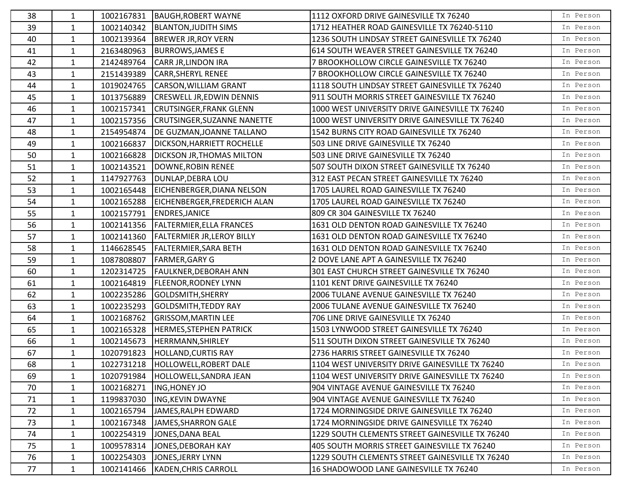| 38 | $\mathbf{1}$ | 1002167831 | <b>BAUGH, ROBERT WAYNE</b>         | 1112 OXFORD DRIVE GAINESVILLE TX 76240          | In Person |
|----|--------------|------------|------------------------------------|-------------------------------------------------|-----------|
| 39 | $\mathbf{1}$ | 1002140342 | <b>BLANTON, JUDITH SIMS</b>        | 1712 HEATHER ROAD GAINESVILLE TX 76240-5110     | In Person |
| 40 | $\mathbf{1}$ | 1002139364 | <b>BREWER JR, ROY VERN</b>         | 1236 SOUTH LINDSAY STREET GAINESVILLE TX 76240  | In Person |
| 41 | $\mathbf{1}$ | 2163480963 | <b>BURROWS, JAMES E</b>            | 614 SOUTH WEAVER STREET GAINESVILLE TX 76240    | In Person |
| 42 | $\mathbf{1}$ | 2142489764 | <b>CARR JR, LINDON IRA</b>         | 7 BROOKHOLLOW CIRCLE GAINESVILLE TX 76240       | In Person |
| 43 | $\mathbf{1}$ | 2151439389 | <b>CARR, SHERYL RENEE</b>          | 7 BROOKHOLLOW CIRCLE GAINESVILLE TX 76240       | In Person |
| 44 | $\mathbf{1}$ | 1019024765 | CARSON, WILLIAM GRANT              | 1118 SOUTH LINDSAY STREET GAINESVILLE TX 76240  | In Person |
| 45 | $\mathbf{1}$ | 1013756889 | <b>CRESWELL JR, EDWIN DENNIS</b>   | 911 SOUTH MORRIS STREET GAINESVILLE TX 76240    | In Person |
| 46 | $\mathbf{1}$ | 1002157341 | <b>CRUTSINGER, FRANK GLENN</b>     | 1000 WEST UNIVERSITY DRIVE GAINESVILLE TX 76240 | In Person |
| 47 | $\mathbf{1}$ | 1002157356 | <b>CRUTSINGER, SUZANNE NANETTE</b> | 1000 WEST UNIVERSITY DRIVE GAINESVILLE TX 76240 | In Person |
| 48 | $\mathbf{1}$ | 2154954874 | DE GUZMAN, JOANNE TALLANO          | 1542 BURNS CITY ROAD GAINESVILLE TX 76240       | In Person |
| 49 | $\mathbf{1}$ | 1002166837 | <b>DICKSON, HARRIETT ROCHELLE</b>  | 503 LINE DRIVE GAINESVILLE TX 76240             | In Person |
| 50 | 1            | 1002166828 | <b>DICKSON JR, THOMAS MILTON</b>   | 503 LINE DRIVE GAINESVILLE TX 76240             | In Person |
| 51 | $\mathbf{1}$ | 1002143521 | DOWNE, ROBIN RENEE                 | 507 SOUTH DIXON STREET GAINESVILLE TX 76240     | In Person |
| 52 | $\mathbf{1}$ | 1147927763 | DUNLAP, DEBRA LOU                  | 312 EAST PECAN STREET GAINESVILLE TX 76240      | In Person |
| 53 | $\mathbf{1}$ | 1002165448 | EICHENBERGER, DIANA NELSON         | 1705 LAUREL ROAD GAINESVILLE TX 76240           | In Person |
| 54 | $\mathbf{1}$ | 1002165288 | EICHENBERGER, FREDERICH ALAN       | 1705 LAUREL ROAD GAINESVILLE TX 76240           | In Person |
| 55 | $\mathbf{1}$ | 1002157791 | <b>ENDRES, JANICE</b>              | 809 CR 304 GAINESVILLE TX 76240                 | In Person |
| 56 | $\mathbf{1}$ | 1002141356 | <b>FALTERMIER, ELLA FRANCES</b>    | 1631 OLD DENTON ROAD GAINESVILLE TX 76240       | In Person |
| 57 | $\mathbf{1}$ | 1002141360 | <b>FALTERMIER JR, LEROY BILLY</b>  | 1631 OLD DENTON ROAD GAINESVILLE TX 76240       | In Person |
| 58 | $\mathbf{1}$ | 1146628545 | <b>FALTERMIER, SARA BETH</b>       | 1631 OLD DENTON ROAD GAINESVILLE TX 76240       | In Person |
| 59 | $\mathbf{1}$ | 1087808807 | <b>FARMER, GARY G</b>              | 2 DOVE LANE APT A GAINESVILLE TX 76240          | In Person |
| 60 | $\mathbf{1}$ | 1202314725 | <b>FAULKNER, DEBORAH ANN</b>       | 301 EAST CHURCH STREET GAINESVILLE TX 76240     | In Person |
| 61 | $\mathbf{1}$ | 1002164819 | <b>FLEENOR, RODNEY LYNN</b>        | 1101 KENT DRIVE GAINESVILLE TX 76240            | In Person |
| 62 | $\mathbf{1}$ | 1002235286 | GOLDSMITH, SHERRY                  | 2006 TULANE AVENUE GAINESVILLE TX 76240         | In Person |
| 63 | $\mathbf{1}$ | 1002235293 | <b>GOLDSMITH, TEDDY RAY</b>        | 2006 TULANE AVENUE GAINESVILLE TX 76240         | In Person |
| 64 | $\mathbf{1}$ | 1002168762 | <b>GRISSOM, MARTIN LEE</b>         | 706 LINE DRIVE GAINESVILLE TX 76240             | In Person |
| 65 | $\mathbf{1}$ | 1002165328 | <b>HERMES, STEPHEN PATRICK</b>     | 1503 LYNWOOD STREET GAINESVILLE TX 76240        | In Person |
| 66 | $\mathbf{1}$ | 1002145673 | HERRMANN, SHIRLEY                  | 511 SOUTH DIXON STREET GAINESVILLE TX 76240     | In Person |
| 67 | $\mathbf{1}$ | 1020791823 | <b>HOLLAND, CURTIS RAY</b>         | 2736 HARRIS STREET GAINESVILLE TX 76240         | In Person |
| 68 | $\mathbf{1}$ |            | 1022731218  HOLLOWELL, ROBERT DALE | 1104 WEST UNIVERSITY DRIVE GAINESVILLE TX 76240 | In Person |
| 69 | 1            | 1020791984 | HOLLOWELL, SANDRA JEAN             | 1104 WEST UNIVERSITY DRIVE GAINESVILLE TX 76240 | In Person |
| 70 | $\mathbf{1}$ | 1002168271 | <b>ING, HONEY JO</b>               | 904 VINTAGE AVENUE GAINESVILLE TX 76240         | In Person |
| 71 | $\mathbf{1}$ | 1199837030 | <b>ING, KEVIN DWAYNE</b>           | 904 VINTAGE AVENUE GAINESVILLE TX 76240         | In Person |
| 72 | $\mathbf{1}$ | 1002165794 | JAMES, RALPH EDWARD                | 1724 MORNINGSIDE DRIVE GAINESVILLE TX 76240     | In Person |
| 73 | $\mathbf{1}$ | 1002167348 | JAMES, SHARRON GALE                | 1724 MORNINGSIDE DRIVE GAINESVILLE TX 76240     | In Person |
| 74 | 1            | 1002254319 | JONES, DANA BEAL                   | 1229 SOUTH CLEMENTS STREET GAINESVILLE TX 76240 | In Person |
| 75 | 1            | 1009578314 | JONES, DEBORAH KAY                 | 405 SOUTH MORRIS STREET GAINESVILLE TX 76240    | In Person |
| 76 | 1            | 1002254303 | JONES, JERRY LYNN                  | 1229 SOUTH CLEMENTS STREET GAINESVILLE TX 76240 | In Person |
| 77 | $\mathbf{1}$ | 1002141466 | <b>KADEN, CHRIS CARROLL</b>        | 16 SHADOWOOD LANE GAINESVILLE TX 76240          | In Person |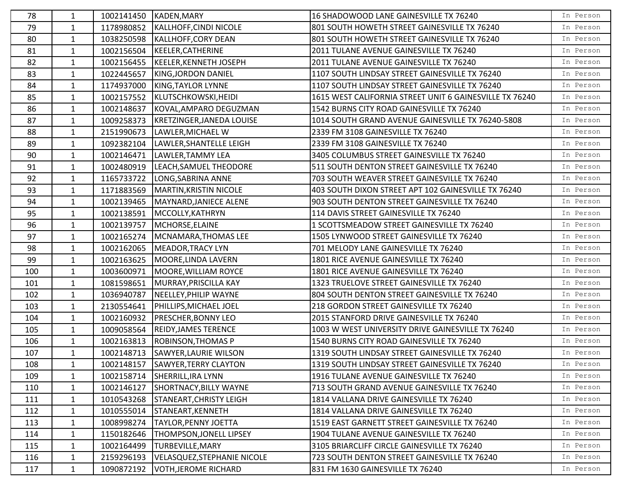| 78  | $\mathbf{1}$ |            | 1002141450 KADEN, MARY             | 16 SHADOWOOD LANE GAINESVILLE TX 76240                  | In Person |
|-----|--------------|------------|------------------------------------|---------------------------------------------------------|-----------|
| 79  | $\mathbf{1}$ | 1178980852 | KALLHOFF, CINDI NICOLE             | 801 SOUTH HOWETH STREET GAINESVILLE TX 76240            | In Person |
| 80  | $\mathbf{1}$ | 1038250598 | KALLHOFF, CORY DEAN                | 801 SOUTH HOWETH STREET GAINESVILLE TX 76240            | In Person |
| 81  | $\mathbf{1}$ | 1002156504 | KEELER, CATHERINE                  | 2011 TULANE AVENUE GAINESVILLE TX 76240                 | In Person |
| 82  | $\mathbf{1}$ | 1002156455 | KEELER, KENNETH JOSEPH             | 2011 TULANE AVENUE GAINESVILLE TX 76240                 | In Person |
| 83  | $\mathbf{1}$ | 1022445657 | KING, JORDON DANIEL                | 1107 SOUTH LINDSAY STREET GAINESVILLE TX 76240          | In Person |
| 84  | $\mathbf{1}$ | 1174937000 | KING, TAYLOR LYNNE                 | 1107 SOUTH LINDSAY STREET GAINESVILLE TX 76240          | In Person |
| 85  | $\mathbf{1}$ | 1002157552 | KLUTSCHKOWSKI, HEIDI               | 1615 WEST CALIFORNIA STREET UNIT 6 GAINESVILLE TX 76240 | In Person |
| 86  | $\mathbf{1}$ | 1002148637 | KOVAL, AMPARO DEGUZMAN             | 1542 BURNS CITY ROAD GAINESVILLE TX 76240               | In Person |
| 87  | $\mathbf{1}$ | 1009258373 | <b>KRETZINGER, JANEDA LOUISE</b>   | 1014 SOUTH GRAND AVENUE GAINESVILLE TX 76240-5808       | In Person |
| 88  | $\mathbf{1}$ | 2151990673 | LAWLER, MICHAEL W                  | 2339 FM 3108 GAINESVILLE TX 76240                       | In Person |
| 89  | $\mathbf{1}$ | 1092382104 | LAWLER, SHANTELLE LEIGH            | 2339 FM 3108 GAINESVILLE TX 76240                       | In Person |
| 90  | $\mathbf{1}$ | 1002146471 | LAWLER, TAMMY LEA                  | 3405 COLUMBUS STREET GAINESVILLE TX 76240               | In Person |
| 91  | $\mathbf{1}$ | 1002480919 | LEACH, SAMUEL THEODORE             | 511 SOUTH DENTON STREET GAINESVILLE TX 76240            | In Person |
| 92  | $\mathbf{1}$ | 1165733722 | LONG, SABRINA ANNE                 | 703 SOUTH WEAVER STREET GAINESVILLE TX 76240            | In Person |
| 93  | $\mathbf{1}$ | 1171883569 | MARTIN, KRISTIN NICOLE             | 403 SOUTH DIXON STREET APT 102 GAINESVILLE TX 76240     | In Person |
| 94  | $\mathbf{1}$ | 1002139465 | MAYNARD, JANIECE ALENE             | 903 SOUTH DENTON STREET GAINESVILLE TX 76240            | In Person |
| 95  | $\mathbf{1}$ | 1002138591 | MCCOLLY, KATHRYN                   | 114 DAVIS STREET GAINESVILLE TX 76240                   | In Person |
| 96  | $\mathbf{1}$ | 1002139757 | MCHORSE, ELAINE                    | 1 SCOTTSMEADOW STREET GAINESVILLE TX 76240              | In Person |
| 97  | $\mathbf{1}$ | 1002165274 | MCNAMARA, THOMAS LEE               | 1505 LYNWOOD STREET GAINESVILLE TX 76240                | In Person |
| 98  | $\mathbf{1}$ | 1002162065 | MEADOR, TRACY LYN                  | 701 MELODY LANE GAINESVILLE TX 76240                    | In Person |
| 99  | $\mathbf{1}$ | 1002163625 | MOORE, LINDA LAVERN                | 1801 RICE AVENUE GAINESVILLE TX 76240                   | In Person |
| 100 | $\mathbf{1}$ | 1003600971 | MOORE, WILLIAM ROYCE               | 1801 RICE AVENUE GAINESVILLE TX 76240                   | In Person |
| 101 | $\mathbf{1}$ | 1081598651 | MURRAY, PRISCILLA KAY              | 1323 TRUELOVE STREET GAINESVILLE TX 76240               | In Person |
| 102 | $\mathbf{1}$ | 1036940787 | NEELLEY, PHILIP WAYNE              | 804 SOUTH DENTON STREET GAINESVILLE TX 76240            | In Person |
| 103 | $\mathbf{1}$ | 2130554641 | PHILLIPS, MICHAEL JOEL             | 218 GORDON STREET GAINESVILLE TX 76240                  | In Person |
| 104 | $\mathbf{1}$ | 1002160932 | <b>PRESCHER, BONNY LEO</b>         | 2015 STANFORD DRIVE GAINESVILLE TX 76240                | In Person |
| 105 | $\mathbf{1}$ | 1009058564 | <b>REIDY, JAMES TERENCE</b>        | 1003 W WEST UNIVERSITY DRIVE GAINESVILLE TX 76240       | In Person |
| 106 | $\mathbf{1}$ | 1002163813 | <b>ROBINSON, THOMAS P</b>          | 1540 BURNS CITY ROAD GAINESVILLE TX 76240               | In Person |
| 107 | $\mathbf{1}$ | 1002148713 | SAWYER, LAURIE WILSON              | 1319 SOUTH LINDSAY STREET GAINESVILLE TX 76240          | In Person |
| 108 | 1            |            | 1002148157 SAWYER, TERRY CLAYTON   | 1319 SOUTH LINDSAY STREET GAINESVILLE TX 76240          | In Person |
| 109 | 1            | 1002158714 | SHERRILL, IRA LYNN                 | 1916 TULANE AVENUE GAINESVILLE TX 76240                 | In Person |
| 110 | $\mathbf{1}$ | 1002146127 | <b>SHORTNACY, BILLY WAYNE</b>      | 713 SOUTH GRAND AVENUE GAINESVILLE TX 76240             | In Person |
| 111 | $\mathbf{1}$ | 1010543268 | <b>STANEART, CHRISTY LEIGH</b>     | 1814 VALLANA DRIVE GAINESVILLE TX 76240                 | In Person |
| 112 | $\mathbf{1}$ | 1010555014 | STANEART, KENNETH                  | 1814 VALLANA DRIVE GAINESVILLE TX 76240                 | In Person |
| 113 | $\mathbf{1}$ | 1008998274 | TAYLOR, PENNY JOETTA               | 1519 EAST GARNETT STREET GAINESVILLE TX 76240           | In Person |
| 114 | 1            | 1150182646 | <b>THOMPSON, JONELL LIPSEY</b>     | 1904 TULANE AVENUE GAINESVILLE TX 76240                 | In Person |
| 115 | $\mathbf{1}$ | 1002164499 | <b>TURBEVILLE, MARY</b>            | 3105 BRIARCLIFF CIRCLE GAINESVILLE TX 76240             | In Person |
| 116 | $\mathbf{1}$ | 2159296193 | <b>VELASQUEZ, STEPHANIE NICOLE</b> | 723 SOUTH DENTON STREET GAINESVILLE TX 76240            | In Person |
| 117 | $\mathbf{1}$ | 1090872192 | <b>VOTH, JEROME RICHARD</b>        | 831 FM 1630 GAINESVILLE TX 76240                        | In Person |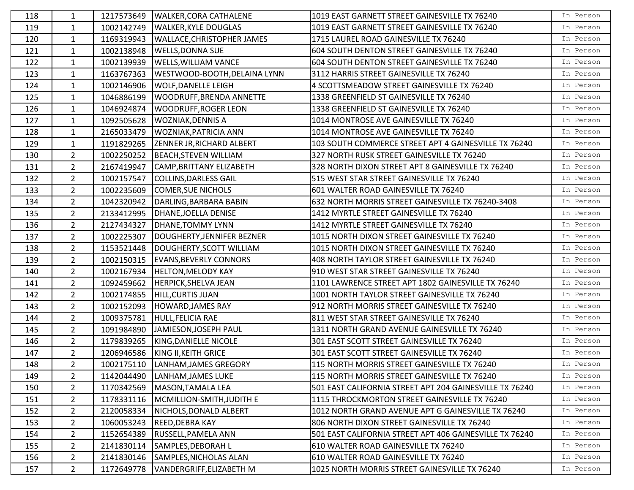| 118 | 1              | 1217573649 | <b>WALKER, CORA CATHALENE</b>    | 1019 EAST GARNETT STREET GAINESVILLE TX 76240           | In Person |
|-----|----------------|------------|----------------------------------|---------------------------------------------------------|-----------|
| 119 | $\mathbf{1}$   | 1002142749 | <b>WALKER, KYLE DOUGLAS</b>      | 1019 EAST GARNETT STREET GAINESVILLE TX 76240           | In Person |
| 120 | $\mathbf{1}$   | 1169319943 | WALLACE, CHRISTOPHER JAMES       | 1715 LAUREL ROAD GAINESVILLE TX 76240                   | In Person |
| 121 | $\mathbf{1}$   | 1002138948 | <b>WELLS, DONNA SUE</b>          | 604 SOUTH DENTON STREET GAINESVILLE TX 76240            | In Person |
| 122 | $\mathbf{1}$   | 1002139939 | <b>WELLS, WILLIAM VANCE</b>      | 604 SOUTH DENTON STREET GAINESVILLE TX 76240            | In Person |
| 123 | $\mathbf{1}$   | 1163767363 | WESTWOOD-BOOTH, DELAINA LYNN     | 3112 HARRIS STREET GAINESVILLE TX 76240                 | In Person |
| 124 | $\mathbf{1}$   | 1002146906 | <b>WOLF, DANELLE LEIGH</b>       | 4 SCOTTSMEADOW STREET GAINESVILLE TX 76240              | In Person |
| 125 | 1              | 1046886199 | WOODRUFF, BRENDA ANNETTE         | 1338 GREENFIELD ST GAINESVILLE TX 76240                 | In Person |
| 126 | $\mathbf{1}$   | 1046924874 | <b>WOODRUFF, ROGER LEON</b>      | 1338 GREENFIELD ST GAINESVILLE TX 76240                 | In Person |
| 127 | $\mathbf{1}$   | 1092505628 | <b>WOZNIAK, DENNIS A</b>         | 1014 MONTROSE AVE GAINESVILLE TX 76240                  | In Person |
| 128 | $\mathbf{1}$   | 2165033479 | WOZNIAK, PATRICIA ANN            | 1014 MONTROSE AVE GAINESVILLE TX 76240                  | In Person |
| 129 | $\mathbf{1}$   | 1191829265 | <b>ZENNER JR, RICHARD ALBERT</b> | 103 SOUTH COMMERCE STREET APT 4 GAINESVILLE TX 76240    | In Person |
| 130 | $\overline{2}$ | 1002250252 | <b>BEACH, STEVEN WILLIAM</b>     | 327 NORTH RUSK STREET GAINESVILLE TX 76240              | In Person |
| 131 | $\overline{2}$ | 2167419947 | CAMP, BRITTANY ELIZABETH         | 328 NORTH DIXON STREET APT 8 GAINESVILLE TX 76240       | In Person |
| 132 | $\overline{2}$ | 1002157547 | <b>COLLINS, DARLESS GAIL</b>     | 515 WEST STAR STREET GAINESVILLE TX 76240               | In Person |
| 133 | $\overline{2}$ | 1002235609 | <b>COMER, SUE NICHOLS</b>        | 601 WALTER ROAD GAINESVILLE TX 76240                    | In Person |
| 134 | $\overline{2}$ | 1042320942 | DARLING, BARBARA BABIN           | 632 NORTH MORRIS STREET GAINESVILLE TX 76240-3408       | In Person |
| 135 | $2^{\circ}$    | 2133412995 | DHANE, JOELLA DENISE             | 1412 MYRTLE STREET GAINESVILLE TX 76240                 | In Person |
| 136 | $\overline{2}$ | 2127434327 | DHANE, TOMMY LYNN                | 1412 MYRTLE STREET GAINESVILLE TX 76240                 | In Person |
| 137 | $\overline{2}$ | 1002225307 | DOUGHERTY, JENNIFER BEZNER       | 1015 NORTH DIXON STREET GAINESVILLE TX 76240            | In Person |
| 138 | $2^{\circ}$    | 1153521448 | DOUGHERTY, SCOTT WILLIAM         | 1015 NORTH DIXON STREET GAINESVILLE TX 76240            | In Person |
| 139 | $\overline{2}$ | 1002150315 | <b>EVANS, BEVERLY CONNORS</b>    | 408 NORTH TAYLOR STREET GAINESVILLE TX 76240            | In Person |
| 140 | $\overline{2}$ | 1002167934 | <b>HELTON, MELODY KAY</b>        | 910 WEST STAR STREET GAINESVILLE TX 76240               | In Person |
| 141 | $\overline{2}$ | 1092459662 | <b>HERPICK, SHELVA JEAN</b>      | 1101 LAWRENCE STREET APT 1802 GAINESVILLE TX 76240      | In Person |
| 142 | $\overline{2}$ | 1002174855 | HILL, CURTIS JUAN                | 1001 NORTH TAYLOR STREET GAINESVILLE TX 76240           | In Person |
| 143 | $2^{\circ}$    | 1002152093 | <b>HOWARD, JAMES RAY</b>         | 912 NORTH MORRIS STREET GAINESVILLE TX 76240            | In Person |
| 144 | $\overline{2}$ | 1009375781 | HULL, FELICIA RAE                | 811 WEST STAR STREET GAINESVILLE TX 76240               | In Person |
| 145 | $\overline{2}$ | 1091984890 | JAMIESON, JOSEPH PAUL            | 1311 NORTH GRAND AVENUE GAINESVILLE TX 76240            | In Person |
| 146 | $\overline{2}$ | 1179839265 | KING, DANIELLE NICOLE            | 301 EAST SCOTT STREET GAINESVILLE TX 76240              | In Person |
| 147 | $\overline{2}$ | 1206946586 | KING II, KEITH GRICE             | 301 EAST SCOTT STREET GAINESVILLE TX 76240              | In Person |
| 148 | $\overline{2}$ | 1002175110 | LANHAM, JAMES GREGORY            | 115 NORTH MORRIS STREET GAINESVILLE TX 76240            | In Person |
| 149 | $\overline{2}$ | 1142044490 | LANHAM, JAMES LUKE               | 115 NORTH MORRIS STREET GAINESVILLE TX 76240            | In Person |
| 150 | $\overline{2}$ | 1170342569 | MASON, TAMALA LEA                | 501 EAST CALIFORNIA STREET APT 204 GAINESVILLE TX 76240 | In Person |
| 151 | $\overline{2}$ | 1178331116 | MCMILLION-SMITH, JUDITH E        | 1115 THROCKMORTON STREET GAINESVILLE TX 76240           | In Person |
| 152 | $\overline{2}$ | 2120058334 | NICHOLS, DONALD ALBERT           | 1012 NORTH GRAND AVENUE APT G GAINESVILLE TX 76240      | In Person |
| 153 | $\overline{2}$ | 1060053243 | REED, DEBRA KAY                  | 806 NORTH DIXON STREET GAINESVILLE TX 76240             | In Person |
| 154 | $\overline{2}$ | 1152654389 | RUSSELL, PAMELA ANN              | 501 EAST CALIFORNIA STREET APT 406 GAINESVILLE TX 76240 | In Person |
| 155 | $\overline{2}$ | 2141830114 | SAMPLES, DEBORAH L               | 610 WALTER ROAD GAINESVILLE TX 76240                    | In Person |
| 156 | $\overline{2}$ | 2141830146 | SAMPLES, NICHOLAS ALAN           | 610 WALTER ROAD GAINESVILLE TX 76240                    | In Person |
| 157 | $2^{\circ}$    | 1172649778 | VANDERGRIFF, ELIZABETH M         | 1025 NORTH MORRIS STREET GAINESVILLE TX 76240           | In Person |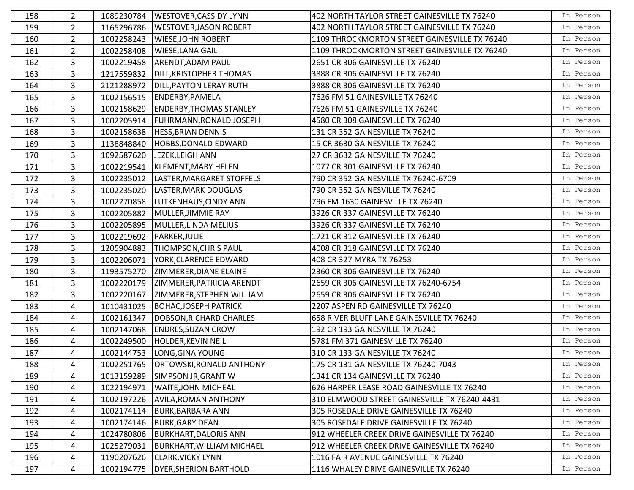| 158 | $\overline{2}$ | 1089230784 | <b>WESTOVER, CASSIDY LYNN</b>    | 402 NORTH TAYLOR STREET GAINESVILLE TX 76240  | In Person |
|-----|----------------|------------|----------------------------------|-----------------------------------------------|-----------|
| 159 | $2^{\circ}$    | 1165296786 | <b>WESTOVER, JASON ROBERT</b>    | 402 NORTH TAYLOR STREET GAINESVILLE TX 76240  | In Person |
| 160 | $\overline{2}$ | 1002258243 | <b>WIESE, JOHN ROBERT</b>        | 1109 THROCKMORTON STREET GAINESVILLE TX 76240 | In Person |
| 161 | $\overline{2}$ | 1002258408 | <b>WIESE, LANA GAIL</b>          | 1109 THROCKMORTON STREET GAINESVILLE TX 76240 | In Person |
| 162 | 3              | 1002219458 | <b>ARENDT, ADAM PAUL</b>         | 2651 CR 306 GAINESVILLE TX 76240              | In Person |
| 163 | 3              | 1217559832 | <b>DILL, KRISTOPHER THOMAS</b>   | 3888 CR 306 GAINESVILLE TX 76240              | In Person |
| 164 | 3              | 2121288972 | <b>DILL, PAYTON LERAY RUTH</b>   | 3888 CR 306 GAINESVILLE TX 76240              | In Person |
| 165 | 3              | 1002156515 | ENDERBY, PAMELA                  | 7626 FM 51 GAINESVILLE TX 76240               | In Person |
| 166 | $\mathbf{3}$   | 1002158629 | <b>ENDERBY, THOMAS STANLEY</b>   | 7626 FM 51 GAINESVILLE TX 76240               | In Person |
| 167 | 3              | 1002205914 | <b>FUHRMANN, RONALD JOSEPH</b>   | 4580 CR 308 GAINESVILLE TX 76240              | In Person |
| 168 | 3              | 1002158638 | <b>HESS, BRIAN DENNIS</b>        | 131 CR 352 GAINESVILLE TX 76240               | In Person |
| 169 | 3              | 1138848840 | HOBBS, DONALD EDWARD             | 15 CR 3630 GAINESVILLE TX 76240               | In Person |
| 170 | 3              | 1092587620 | JEZEK, LEIGH ANN                 | 27 CR 3632 GAINESVILLE TX 76240               | In Person |
| 171 | $\overline{3}$ | 1002219541 | KLEMENT, MARY HELEN              | 1077 CR 301 GAINESVILLE TX 76240              | In Person |
| 172 | 3              | 1002235012 | LASTER, MARGARET STOFFELS        | 790 CR 352 GAINESVILLE TX 76240-6709          | In Person |
| 173 | $\mathbf{3}$   | 1002235020 | LASTER, MARK DOUGLAS             | 790 CR 352 GAINESVILLE TX 76240               | In Person |
| 174 | 3              | 1002270858 | LUTKENHAUS, CINDY ANN            | 796 FM 1630 GAINESVILLE TX 76240              | In Person |
| 175 | 3              | 1002205882 | MULLER, JIMMIE RAY               | 3926 CR 337 GAINESVILLE TX 76240              | In Person |
| 176 | 3              | 1002205895 | MULLER, LINDA MELIUS             | 3926 CR 337 GAINESVILLE TX 76240              | In Person |
| 177 | 3              | 1002219692 | PARKER, JULIE                    | 1721 CR 312 GAINESVILLE TX 76240              | In Person |
| 178 | $\overline{3}$ | 1205904883 | <b>THOMPSON, CHRIS PAUL</b>      | 4008 CR 318 GAINESVILLE TX 76240              | In Person |
| 179 | $\overline{3}$ | 1002206071 | YORK, CLARENCE EDWARD            | 408 CR 327 MYRA TX 76253                      | In Person |
| 180 | 3              | 1193575270 | ZIMMERER, DIANE ELAINE           | 2360 CR 306 GAINESVILLE TX 76240              | In Person |
| 181 | 3              | 1002220179 | ZIMMERER, PATRICIA ARENDT        | 2659 CR 306 GAINESVILLE TX 76240-6754         | In Person |
| 182 | 3              | 1002220167 | ZIMMERER, STEPHEN WILLIAM        | 2659 CR 306 GAINESVILLE TX 76240              | In Person |
| 183 | 4              | 1010431025 | <b>BOHAC, JOSEPH PATRICK</b>     | 2207 ASPEN RD GAINESVILLE TX 76240            | In Person |
| 184 | 4              | 1002161347 | DOBSON, RICHARD CHARLES          | 658 RIVER BLUFF LANE GAINESVILLE TX 76240     | In Person |
| 185 | 4              | 1002147068 | <b>ENDRES, SUZAN CROW</b>        | 192 CR 193 GAINESVILLE TX 76240               | In Person |
| 186 | 4              | 1002249500 | <b>HOLDER, KEVIN NEIL</b>        | 5781 FM 371 GAINESVILLE TX 76240              | In Person |
| 187 | 4              | 1002144753 | LONG, GINA YOUNG                 | 310 CR 133 GAINESVILLE TX 76240               | In Person |
| 188 | 4              | 1002251765 | <b>ORTOWSKI, RONALD ANTHONY</b>  | 175 CR 131 GAINESVILLE TX 76240-7043          | In Person |
| 189 | 4              | 1013159289 | <b>SIMPSON JR, GRANT W</b>       | 1341 CR 134 GAINESVILLE TX 76240              | In Person |
| 190 | 4              | 1022194971 | <b>WAITE, JOHN MICHEAL</b>       | 626 HARPER LEASE ROAD GAINESVILLE TX 76240    | In Person |
| 191 | 4              | 1002197226 | <b>AVILA, ROMAN ANTHONY</b>      | 310 ELMWOOD STREET GAINESVILLE TX 76240-4431  | In Person |
| 192 | 4              | 1002174114 | <b>BURK, BARBARA ANN</b>         | 305 ROSEDALE DRIVE GAINESVILLE TX 76240       | In Person |
| 193 | 4              | 1002174146 | <b>BURK, GARY DEAN</b>           | 305 ROSEDALE DRIVE GAINESVILLE TX 76240       | In Person |
| 194 | 4              | 1024780806 | <b>BURKHART, DALORIS ANN</b>     | 912 WHEELER CREEK DRIVE GAINESVILLE TX 76240  | In Person |
| 195 | 4              | 1025279031 | <b>BURKHART, WILLIAM MICHAEL</b> | 912 WHEELER CREEK DRIVE GAINESVILLE TX 76240  | In Person |
| 196 | 4              | 1190207626 | <b>CLARK, VICKY LYNN</b>         | 1016 FAIR AVENUE GAINESVILLE TX 76240         | In Person |
| 197 | 4              | 1002194775 | <b>DYER, SHERION BARTHOLD</b>    | 1116 WHALEY DRIVE GAINESVILLE TX 76240        | In Person |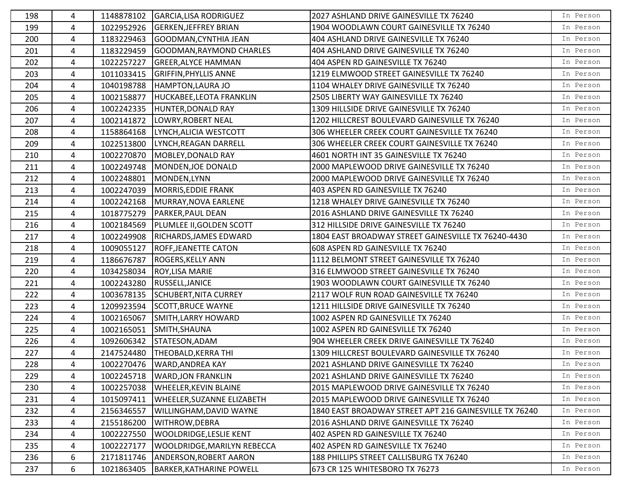| 198 | 4              | 1148878102 | GARCIA, LISA RODRIGUEZ            | 2027 ASHLAND DRIVE GAINESVILLE TX 76240                | In Person |
|-----|----------------|------------|-----------------------------------|--------------------------------------------------------|-----------|
| 199 | 4              | 1022952926 | <b>GERKEN, JEFFREY BRIAN</b>      | 1904 WOODLAWN COURT GAINESVILLE TX 76240               | In Person |
| 200 | 4              | 1183229463 | GOODMAN, CYNTHIA JEAN             | 404 ASHLAND DRIVE GAINESVILLE TX 76240                 | In Person |
| 201 | 4              | 1183229459 | <b>GOODMAN, RAYMOND CHARLES</b>   | 404 ASHLAND DRIVE GAINESVILLE TX 76240                 | In Person |
| 202 | $\overline{4}$ | 1022257227 | <b>GREER, ALYCE HAMMAN</b>        | 404 ASPEN RD GAINESVILLE TX 76240                      | In Person |
| 203 | 4              | 1011033415 | <b>GRIFFIN, PHYLLIS ANNE</b>      | 1219 ELMWOOD STREET GAINESVILLE TX 76240               | In Person |
| 204 | 4              | 1040198788 | <b>HAMPTON, LAURA JO</b>          | 1104 WHALEY DRIVE GAINESVILLE TX 76240                 | In Person |
| 205 | 4              | 1002158877 | HUCKABEE, LEOTA FRANKLIN          | 2505 LIBERTY WAY GAINESVILLE TX 76240                  | In Person |
| 206 | $\overline{4}$ | 1002242335 | HUNTER, DONALD RAY                | 1309 HILLSIDE DRIVE GAINESVILLE TX 76240               | In Person |
| 207 | 4              | 1002141872 | LOWRY, ROBERT NEAL                | 1202 HILLCREST BOULEVARD GAINESVILLE TX 76240          | In Person |
| 208 | 4              | 1158864168 | LYNCH, ALICIA WESTCOTT            | 306 WHEELER CREEK COURT GAINESVILLE TX 76240           | In Person |
| 209 | 4              | 1022513800 | LYNCH, REAGAN DARRELL             | 306 WHEELER CREEK COURT GAINESVILLE TX 76240           | In Person |
| 210 | 4              | 1002270870 | MOBLEY, DONALD RAY                | 4601 NORTH INT 35 GAINESVILLE TX 76240                 | In Person |
| 211 | 4              | 1002249748 | MONDEN, JOE DONALD                | 2000 MAPLEWOOD DRIVE GAINESVILLE TX 76240              | In Person |
| 212 | 4              | 1002248801 | MONDEN, LYNN                      | 2000 MAPLEWOOD DRIVE GAINESVILLE TX 76240              | In Person |
| 213 | 4              | 1002247039 | MORRIS, EDDIE FRANK               | 403 ASPEN RD GAINESVILLE TX 76240                      | In Person |
| 214 | $\overline{4}$ | 1002242168 | MURRAY, NOVA EARLENE              | 1218 WHALEY DRIVE GAINESVILLE TX 76240                 | In Person |
| 215 | 4              | 1018775279 | PARKER, PAUL DEAN                 | 2016 ASHLAND DRIVE GAINESVILLE TX 76240                | In Person |
| 216 | 4              | 1002184569 | PLUMLEE II, GOLDEN SCOTT          | 312 HILLSIDE DRIVE GAINESVILLE TX 76240                | In Person |
| 217 | 4              | 1002249908 | RICHARDS, JAMES EDWARD            | 1804 EAST BROADWAY STREET GAINESVILLE TX 76240-4430    | In Person |
| 218 | 4              | 1009055127 | <b>ROFF, JEANETTE CATON</b>       | 608 ASPEN RD GAINESVILLE TX 76240                      | In Person |
| 219 | 4              | 1186676787 | <b>ROGERS, KELLY ANN</b>          | 1112 BELMONT STREET GAINESVILLE TX 76240               | In Person |
| 220 | 4              | 1034258034 | ROY, LISA MARIE                   | 316 ELMWOOD STREET GAINESVILLE TX 76240                | In Person |
| 221 | 4              | 1002243280 | RUSSELL, JANICE                   | 1903 WOODLAWN COURT GAINESVILLE TX 76240               | In Person |
| 222 | 4              | 1003678135 | <b>SCHUBERT, NITA CURREY</b>      | 2117 WOLF RUN ROAD GAINESVILLE TX 76240                | In Person |
| 223 | 4              | 1209923594 | <b>SCOTT, BRUCE WAYNE</b>         | 1211 HILLSIDE DRIVE GAINESVILLE TX 76240               | In Person |
| 224 | 4              | 1002165067 | <b>SMITH, LARRY HOWARD</b>        | 1002 ASPEN RD GAINESVILLE TX 76240                     | In Person |
| 225 | $\overline{4}$ | 1002165051 | SMITH, SHAUNA                     | 1002 ASPEN RD GAINESVILLE TX 76240                     | In Person |
| 226 | $\overline{4}$ | 1092606342 | STATESON, ADAM                    | 904 WHEELER CREEK DRIVE GAINESVILLE TX 76240           | In Person |
| 227 | 4              | 2147524480 | THEOBALD, KERRA THI               | 1309 HILLCREST BOULEVARD GAINESVILLE TX 76240          | In Person |
| 228 | 4              |            | 1002270476   WARD, ANDREA KAY     | 2021 ASHLAND DRIVE GAINESVILLE TX 76240                | In Person |
| 229 | 4              | 1002245718 | <b>WARD, JON FRANKLIN</b>         | 2021 ASHLAND DRIVE GAINESVILLE TX 76240                | In Person |
| 230 | 4              | 1002257038 | <b>WHEELER, KEVIN BLAINE</b>      | 2015 MAPLEWOOD DRIVE GAINESVILLE TX 76240              | In Person |
| 231 | 4              | 1015097411 | <b>WHEELER, SUZANNE ELIZABETH</b> | 2015 MAPLEWOOD DRIVE GAINESVILLE TX 76240              | In Person |
| 232 | 4              | 2156346557 | WILLINGHAM, DAVID WAYNE           | 1840 EAST BROADWAY STREET APT 216 GAINESVILLE TX 76240 | In Person |
| 233 | 4              | 2155186200 | WITHROW, DEBRA                    | 2016 ASHLAND DRIVE GAINESVILLE TX 76240                | In Person |
| 234 | 4              | 1002227550 | WOOLDRIDGE, LESLIE KENT           | 402 ASPEN RD GAINESVILLE TX 76240                      | In Person |
| 235 | 4              | 1002227177 | WOOLDRIDGE, MARILYN REBECCA       | 402 ASPEN RD GAINESVILLE TX 76240                      | In Person |
| 236 | 6              | 2171811746 | <b>ANDERSON, ROBERT AARON</b>     | 188 PHILLIPS STREET CALLISBURG TX 76240                | In Person |
| 237 | 6              | 1021863405 | <b>BARKER, KATHARINE POWELL</b>   | 673 CR 125 WHITESBORO TX 76273                         | In Person |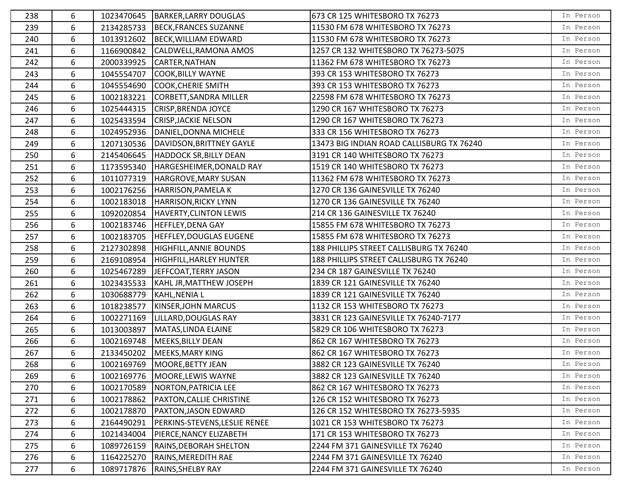| 238 | 6 | 1023470645 | BARKER, LARRY DOUGLAS                | 673 CR 125 WHITESBORO TX 76273            | In Person |
|-----|---|------------|--------------------------------------|-------------------------------------------|-----------|
| 239 | 6 | 2134285733 | BECK, FRANCES SUZANNE                | 11530 FM 678 WHITESBORO TX 76273          | In Person |
| 240 | 6 | 1013912602 | BECK, WILLIAM EDWARD                 | 11530 FM 678 WHITESBORO TX 76273          | In Person |
| 241 | 6 | 1166900842 | CALDWELL, RAMONA AMOS                | 1257 CR 132 WHITESBORO TX 76273-5075      | In Person |
| 242 | 6 | 2000339925 | CARTER, NATHAN                       | 11362 FM 678 WHITESBORO TX 76273          | In Person |
| 243 | 6 | 1045554707 | COOK, BILLY WAYNE                    | 393 CR 153 WHITESBORO TX 76273            | In Person |
| 244 | 6 | 1045554690 | COOK, CHERIE SMITH                   | 393 CR 153 WHITESBORO TX 76273            | In Person |
| 245 | 6 | 1002183221 | CORBETT, SANDRA MILLER               | 22598 FM 678 WHITESBORO TX 76273          | In Person |
| 246 | 6 | 1025444315 | CRISP, BRENDA JOYCE                  | 1290 CR 167 WHITESBORO TX 76273           | In Person |
| 247 | 6 |            | 1025433594 CRISP, JACKIE NELSON      | 1290 CR 167 WHITESBORO TX 76273           | In Person |
| 248 | 6 | 1024952936 | DANIEL, DONNA MICHELE                | 333 CR 156 WHITESBORO TX 76273            | In Person |
| 249 | 6 | 1207130536 | DAVIDSON, BRITTNEY GAYLE             | 13473 BIG INDIAN ROAD CALLISBURG TX 76240 | In Person |
| 250 | 6 | 2145406645 | <b>HADDOCK SR, BILLY DEAN</b>        | 3191 CR 140 WHITESBORO TX 76273           | In Person |
| 251 | 6 | 1173595340 | HARGESHEIMER, DONALD RAY             | 1519 CR 140 WHITESBORO TX 76273           | In Person |
| 252 | 6 | 1011077319 | HARGROVE, MARY SUSAN                 | 11362 FM 678 WHITESBORO TX 76273          | In Person |
| 253 | 6 | 1002176256 | HARRISON, PAMELA K                   | 1270 CR 136 GAINESVILLE TX 76240          | In Person |
| 254 | 6 | 1002183018 | <b>HARRISON, RICKY LYNN</b>          | 1270 CR 136 GAINESVILLE TX 76240          | In Person |
| 255 | 6 | 1092020854 | HAVERTY, CLINTON LEWIS               | 214 CR 136 GAINESVILLE TX 76240           | In Person |
| 256 | 6 |            | 1002183746  HEFFLEY, DENA GAY        | 15855 FM 678 WHITESBORO TX 76273          | In Person |
| 257 | 6 | 1002183705 | <b>HEFFLEY, DOUGLAS EUGENE</b>       | 15855 FM 678 WHITESBORO TX 76273          | In Person |
| 258 | 6 | 2127302898 | HIGHFILL, ANNIE BOUNDS               | 188 PHILLIPS STREET CALLISBURG TX 76240   | In Person |
| 259 | 6 | 2169108954 | HIGHFILL, HARLEY HUNTER              | 188 PHILLIPS STREET CALLISBURG TX 76240   | In Person |
| 260 | 6 | 1025467289 | JEFFCOAT, TERRY JASON                | 234 CR 187 GAINESVILLE TX 76240           | In Person |
| 261 | 6 | 1023435533 | KAHL JR, MATTHEW JOSEPH              | 1839 CR 121 GAINESVILLE TX 76240          | In Person |
| 262 | 6 | 1030688779 | KAHL, NENIA L                        | 1839 CR 121 GAINESVILLE TX 76240          | In Person |
| 263 | 6 | 1018238577 | <b>KINSER, JOHN MARCUS</b>           | 1132 CR 153 WHITESBORO TX 76273           | In Person |
| 264 | 6 | 1002271169 | LILLARD, DOUGLAS RAY                 | 3831 CR 123 GAINESVILLE TX 76240-7177     | In Person |
| 265 | 6 | 1013003897 | MATAS, LINDA ELAINE                  | 5829 CR 106 WHITESBORO TX 76273           | In Person |
| 266 | 6 | 1002169748 | MEEKS, BILLY DEAN                    | 862 CR 167 WHITESBORO TX 76273            | In Person |
| 267 | 6 | 2133450202 | MEEKS, MARY KING                     | 862 CR 167 WHITESBORO TX 76273            | In Person |
| 268 | 6 |            | 1002169769   MOORE, BETTY JEAN       | 3882 CR 123 GAINESVILLE TX 76240          | In Person |
| 269 | 6 | 1002169776 | MOORE, LEWIS WAYNE                   | 3882 CR 123 GAINESVILLE TX 76240          | In Person |
| 270 | 6 | 1002170589 | NORTON, PATRICIA LEE                 | 862 CR 167 WHITESBORO TX 76273            | In Person |
| 271 | 6 | 1002178862 | <b>PAXTON, CALLIE CHRISTINE</b>      | 126 CR 152 WHITESBORO TX 76273            | In Person |
| 272 | 6 | 1002178870 | <b>PAXTON, JASON EDWARD</b>          | 126 CR 152 WHITESBORO TX 76273-5935       | In Person |
| 273 | 6 | 2164490291 | <b>PERKINS-STEVENS, LESLIE RENEE</b> | 1021 CR 153 WHITESBORO TX 76273           | In Person |
| 274 | 6 | 1021434004 | <b>PIERCE, NANCY ELIZABETH</b>       | 171 CR 153 WHITESBORO TX 76273            | In Person |
| 275 | 6 | 1089726159 | <b>RAINS, DEBORAH SHELTON</b>        | 2244 FM 371 GAINESVILLE TX 76240          | In Person |
| 276 | 6 | 1164225270 | <b>RAINS, MEREDITH RAE</b>           | 2244 FM 371 GAINESVILLE TX 76240          | In Person |
| 277 | 6 | 1089717876 | RAINS, SHELBY RAY                    | 2244 FM 371 GAINESVILLE TX 76240          | In Person |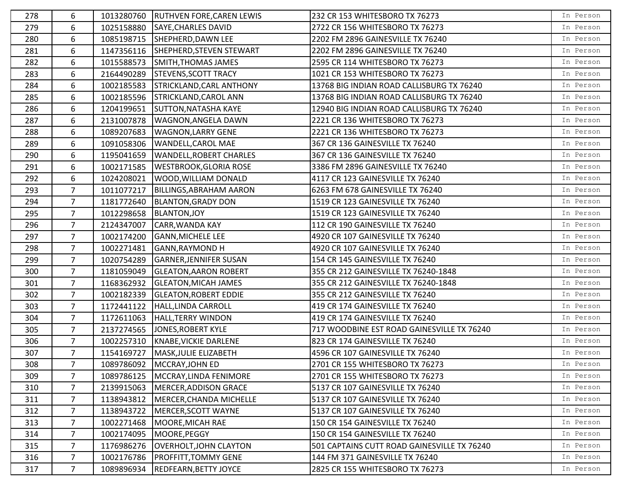| 278 | 6              |            | 1013280760 RUTHVEN FORE, CAREN LEWIS | 232 CR 153 WHITESBORO TX 76273              | In Person |
|-----|----------------|------------|--------------------------------------|---------------------------------------------|-----------|
| 279 | 6              | 1025158880 | SAYE, CHARLES DAVID                  | 2722 CR 156 WHITESBORO TX 76273             | In Person |
| 280 | 6              | 1085198715 | SHEPHERD, DAWN LEE                   | 2202 FM 2896 GAINESVILLE TX 76240           | In Person |
| 281 | 6              | 1147356116 | SHEPHERD, STEVEN STEWART             | 2202 FM 2896 GAINESVILLE TX 76240           | In Person |
| 282 | 6              | 1015588573 | SMITH, THOMAS JAMES                  | 2595 CR 114 WHITESBORO TX 76273             | In Person |
| 283 | 6              | 2164490289 | <b>STEVENS, SCOTT TRACY</b>          | 1021 CR 153 WHITESBORO TX 76273             | In Person |
| 284 | 6              | 1002185583 | <b>STRICKLAND, CARL ANTHONY</b>      | 13768 BIG INDIAN ROAD CALLISBURG TX 76240   | In Person |
| 285 | 6              | 1002185596 | STRICKLAND, CAROL ANN                | 13768 BIG INDIAN ROAD CALLISBURG TX 76240   | In Person |
| 286 | 6              | 1204199651 | <b>SUTTON, NATASHA KAYE</b>          | 12940 BIG INDIAN ROAD CALLISBURG TX 76240   | In Person |
| 287 | 6              | 2131007878 | <b>WAGNON, ANGELA DAWN</b>           | 2221 CR 136 WHITESBORO TX 76273             | In Person |
| 288 | 6              | 1089207683 | <b>WAGNON, LARRY GENE</b>            | 2221 CR 136 WHITESBORO TX 76273             | In Person |
| 289 | 6              | 1091058306 | WANDELL, CAROL MAE                   | 367 CR 136 GAINESVILLE TX 76240             | In Person |
| 290 | 6              | 1195041659 | <b>WANDELL, ROBERT CHARLES</b>       | 367 CR 136 GAINESVILLE TX 76240             | In Person |
| 291 | 6              | 1002171585 | <b>WESTBROOK, GLORIA ROSE</b>        | 3386 FM 2896 GAINESVILLE TX 76240           | In Person |
| 292 | 6              | 1024208021 | WOOD, WILLIAM DONALD                 | 4117 CR 123 GAINESVILLE TX 76240            | In Person |
| 293 | $\overline{7}$ | 1011077217 | <b>BILLINGS, ABRAHAM AARON</b>       | 6263 FM 678 GAINESVILLE TX 76240            | In Person |
| 294 | $\overline{7}$ | 1181772640 | <b>BLANTON, GRADY DON</b>            | 1519 CR 123 GAINESVILLE TX 76240            | In Person |
| 295 | $\overline{7}$ | 1012298658 | <b>BLANTON, JOY</b>                  | 1519 CR 123 GAINESVILLE TX 76240            | In Person |
| 296 | $\overline{7}$ | 2124347007 | CARR, WANDA KAY                      | 112 CR 190 GAINESVILLE TX 76240             | In Person |
| 297 | $\overline{7}$ | 1002174200 | <b>GANN, MICHELE LEE</b>             | 4920 CR 107 GAINESVILLE TX 76240            | In Person |
| 298 | $\overline{7}$ | 1002271481 | <b>GANN, RAYMOND H</b>               | 4920 CR 107 GAINESVILLE TX 76240            | In Person |
| 299 | $\overline{7}$ | 1020754289 | <b>GARNER, JENNIFER SUSAN</b>        | 154 CR 145 GAINESVILLE TX 76240             | In Person |
| 300 | $\overline{7}$ | 1181059049 | <b>GLEATON, AARON ROBERT</b>         | 355 CR 212 GAINESVILLE TX 76240-1848        | In Person |
| 301 | $\overline{7}$ | 1168362932 | <b>GLEATON, MICAH JAMES</b>          | 355 CR 212 GAINESVILLE TX 76240-1848        | In Person |
| 302 | $\overline{7}$ | 1002182339 | <b>GLEATON, ROBERT EDDIE</b>         | 355 CR 212 GAINESVILLE TX 76240             | In Person |
| 303 | $\overline{7}$ | 1172441122 | HALL, LINDA CARROLL                  | 419 CR 174 GAINESVILLE TX 76240             | In Person |
| 304 | $\overline{7}$ | 1172611063 | <b>HALL, TERRY WINDON</b>            | 419 CR 174 GAINESVILLE TX 76240             | In Person |
| 305 | $\overline{7}$ | 2137274565 | JONES, ROBERT KYLE                   | 717 WOODBINE EST ROAD GAINESVILLE TX 76240  | In Person |
| 306 | $\overline{7}$ | 1002257310 | KNABE, VICKIE DARLENE                | 823 CR 174 GAINESVILLE TX 76240             | In Person |
| 307 | $\overline{7}$ | 1154169727 | MASK, JULIE ELIZABETH                | 4596 CR 107 GAINESVILLE TX 76240            | In Person |
| 308 | $\overline{7}$ | 1089786092 | MCCRAY, JOHN ED                      | 2701 CR 155 WHITESBORO TX 76273             | In Person |
| 309 | 7              | 1089786125 | MCCRAY, LINDA FENIMORE               | 2701 CR 155 WHITESBORO TX 76273             | In Person |
| 310 | $\overline{7}$ | 2139915063 | MERCER, ADDISON GRACE                | 5137 CR 107 GAINESVILLE TX 76240            | In Person |
| 311 | 7              | 1138943812 | MERCER, CHANDA MICHELLE              | 5137 CR 107 GAINESVILLE TX 76240            | In Person |
| 312 | $\overline{7}$ | 1138943722 | MERCER, SCOTT WAYNE                  | 5137 CR 107 GAINESVILLE TX 76240            | In Person |
| 313 | $\overline{7}$ | 1002271468 | MOORE, MICAH RAE                     | 150 CR 154 GAINESVILLE TX 76240             | In Person |
| 314 | 7              | 1002174095 | MOORE, PEGGY                         | 150 CR 154 GAINESVILLE TX 76240             | In Person |
| 315 | $\overline{7}$ | 1176986276 | <b>OVERHOLT, JOHN CLAYTON</b>        | 501 CAPTAINS CUTT ROAD GAINESVILLE TX 76240 | In Person |
| 316 | $\overline{7}$ | 1002176786 | <b>PROFFITT, TOMMY GENE</b>          | 144 FM 371 GAINESVILLE TX 76240             | In Person |
| 317 | $\overline{7}$ | 1089896934 | <b>REDFEARN, BETTY JOYCE</b>         | 2825 CR 155 WHITESBORO TX 76273             | In Person |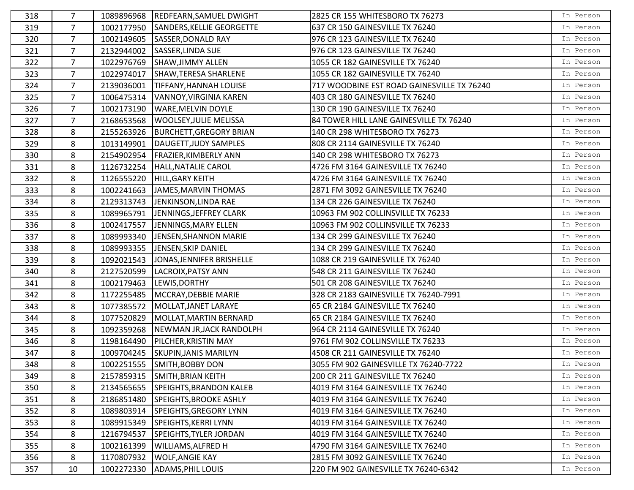| 318 | 7              |            | 1089896968 REDFEARN, SAMUEL DWIGHT | 2825 CR 155 WHITESBORO TX 76273            | In Person |
|-----|----------------|------------|------------------------------------|--------------------------------------------|-----------|
| 319 | $\overline{7}$ | 1002177950 | SANDERS, KELLIE GEORGETTE          | 637 CR 150 GAINESVILLE TX 76240            | In Person |
| 320 | $\overline{7}$ | 1002149605 | <b>SASSER, DONALD RAY</b>          | 976 CR 123 GAINESVILLE TX 76240            | In Person |
| 321 | $\overline{7}$ | 2132944002 | SASSER, LINDA SUE                  | 976 CR 123 GAINESVILLE TX 76240            | In Person |
| 322 | $\overline{7}$ | 1022976769 | SHAW, JIMMY ALLEN                  | 1055 CR 182 GAINESVILLE TX 76240           | In Person |
| 323 | 7              | 1022974017 | SHAW, TERESA SHARLENE              | 1055 CR 182 GAINESVILLE TX 76240           | In Person |
| 324 | $\overline{7}$ | 2139036001 | <b>TIFFANY, HANNAH LOUISE</b>      | 717 WOODBINE EST ROAD GAINESVILLE TX 76240 | In Person |
| 325 | 7              | 1006475314 | VANNOY, VIRGINIA KAREN             | 403 CR 180 GAINESVILLE TX 76240            | In Person |
| 326 | $\overline{7}$ | 1002173190 | <b>WARE, MELVIN DOYLE</b>          | 130 CR 190 GAINESVILLE TX 76240            | In Person |
| 327 | $\overline{7}$ | 2168653568 | <b>WOOLSEY, JULIE MELISSA</b>      | 84 TOWER HILL LANE GAINESVILLE TX 76240    | In Person |
| 328 | 8              | 2155263926 | <b>BURCHETT, GREGORY BRIAN</b>     | 140 CR 298 WHITESBORO TX 76273             | In Person |
| 329 | 8              | 1013149901 | DAUGETT, JUDY SAMPLES              | 808 CR 2114 GAINESVILLE TX 76240           | In Person |
| 330 | 8              | 2154902954 | <b>FRAZIER, KIMBERLY ANN</b>       | 140 CR 298 WHITESBORO TX 76273             | In Person |
| 331 | 8              |            | 1126732254   HALL, NATALIE CAROL   | 4726 FM 3164 GAINESVILLE TX 76240          | In Person |
| 332 | 8              | 1126555220 | HILL, GARY KEITH                   | 4726 FM 3164 GAINESVILLE TX 76240          | In Person |
| 333 | 8              | 1002241663 | JAMES, MARVIN THOMAS               | 2871 FM 3092 GAINESVILLE TX 76240          | In Person |
| 334 | 8              | 2129313743 | JENKINSON, LINDA RAE               | 134 CR 226 GAINESVILLE TX 76240            | In Person |
| 335 | 8              | 1089965791 | JENNINGS, JEFFREY CLARK            | 10963 FM 902 COLLINSVILLE TX 76233         | In Person |
| 336 | 8              | 1002417557 | JENNINGS, MARY ELLEN               | 10963 FM 902 COLLINSVILLE TX 76233         | In Person |
| 337 | 8              | 1089993340 | <b>JENSEN, SHANNON MARIE</b>       | 134 CR 299 GAINESVILLE TX 76240            | In Person |
| 338 | 8              | 1089993355 | JENSEN, SKIP DANIEL                | 134 CR 299 GAINESVILLE TX 76240            | In Person |
| 339 | 8              | 1092021543 | JONAS, JENNIFER BRISHELLE          | 1088 CR 219 GAINESVILLE TX 76240           | In Person |
| 340 | 8              | 2127520599 | LACROIX, PATSY ANN                 | 548 CR 211 GAINESVILLE TX 76240            | In Person |
| 341 | 8              |            | 1002179463 LEWIS, DORTHY           | 501 CR 208 GAINESVILLE TX 76240            | In Person |
| 342 | 8              | 1172255485 | MCCRAY, DEBBIE MARIE               | 328 CR 2183 GAINESVILLE TX 76240-7991      | In Person |
| 343 | 8              | 1077385572 | MOLLAT, JANET LARAYE               | 65 CR 2184 GAINESVILLE TX 76240            | In Person |
| 344 | 8              | 1077520829 | MOLLAT, MARTIN BERNARD             | 65 CR 2184 GAINESVILLE TX 76240            | In Person |
| 345 | 8              | 1092359268 | NEWMAN JR, JACK RANDOLPH           | 964 CR 2114 GAINESVILLE TX 76240           | In Person |
| 346 | 8              | 1198164490 | PILCHER, KRISTIN MAY               | 9761 FM 902 COLLINSVILLE TX 76233          | In Person |
| 347 | 8              | 1009704245 | <b>SKUPIN, JANIS MARILYN</b>       | 4508 CR 211 GAINESVILLE TX 76240           | In Person |
| 348 | 8              |            | 1002251555 SMITH, BOBBY DON        | 3055 FM 902 GAINESVILLE TX 76240-7722      | In Person |
| 349 | 8              | 2157859315 | SMITH, BRIAN KEITH                 | 200 CR 211 GAINESVILLE TX 76240            | In Person |
| 350 | 8              | 2134565655 | SPEIGHTS, BRANDON KALEB            | 4019 FM 3164 GAINESVILLE TX 76240          | In Person |
| 351 | 8              | 2186851480 | SPEIGHTS, BROOKE ASHLY             | 4019 FM 3164 GAINESVILLE TX 76240          | In Person |
| 352 | 8              | 1089803914 | SPEIGHTS, GREGORY LYNN             | 4019 FM 3164 GAINESVILLE TX 76240          | In Person |
| 353 | 8              | 1089915349 | SPEIGHTS, KERRI LYNN               | 4019 FM 3164 GAINESVILLE TX 76240          | In Person |
| 354 | 8              | 1216794537 | SPEIGHTS, TYLER JORDAN             | 4019 FM 3164 GAINESVILLE TX 76240          | In Person |
| 355 | 8              | 1002161399 | <b>WILLIAMS, ALFRED H</b>          | 4790 FM 3164 GAINESVILLE TX 76240          | In Person |
| 356 | 8              | 1170807932 | <b>WOLF, ANGIE KAY</b>             | 2815 FM 3092 GAINESVILLE TX 76240          | In Person |
| 357 | 10             | 1002272330 | <b>ADAMS, PHIL LOUIS</b>           | 220 FM 902 GAINESVILLE TX 76240-6342       | In Person |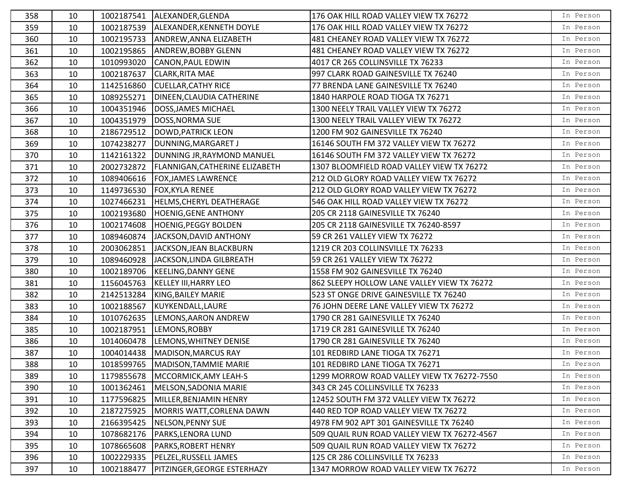| 358 | 10 | 1002187541 | ALEXANDER, GLENDA                     | 176 OAK HILL ROAD VALLEY VIEW TX 76272       | In Person |
|-----|----|------------|---------------------------------------|----------------------------------------------|-----------|
| 359 | 10 | 1002187539 | ALEXANDER, KENNETH DOYLE              | 176 OAK HILL ROAD VALLEY VIEW TX 76272       | In Person |
| 360 | 10 | 1002195733 | ANDREW, ANNA ELIZABETH                | 481 CHEANEY ROAD VALLEY VIEW TX 76272        | In Person |
| 361 | 10 | 1002195865 | <b>ANDREW, BOBBY GLENN</b>            | 481 CHEANEY ROAD VALLEY VIEW TX 76272        | In Person |
| 362 | 10 | 1010993020 | CANON, PAUL EDWIN                     | 4017 CR 265 COLLINSVILLE TX 76233            | In Person |
| 363 | 10 | 1002187637 | <b>CLARK, RITA MAE</b>                | 997 CLARK ROAD GAINESVILLE TX 76240          | In Person |
| 364 | 10 | 1142516860 | <b>CUELLAR, CATHY RICE</b>            | 77 BRENDA LANE GAINESVILLE TX 76240          | In Person |
| 365 | 10 | 1089255271 | DINEEN, CLAUDIA CATHERINE             | 1840 HARPOLE ROAD TIOGA TX 76271             | In Person |
| 366 | 10 | 1004351946 | <b>DOSS, JAMES MICHAEL</b>            | 1300 NEELY TRAIL VALLEY VIEW TX 76272        | In Person |
| 367 | 10 | 1004351979 | DOSS, NORMA SUE                       | 1300 NEELY TRAIL VALLEY VIEW TX 76272        | In Person |
| 368 | 10 | 2186729512 | DOWD, PATRICK LEON                    | 1200 FM 902 GAINESVILLE TX 76240             | In Person |
| 369 | 10 | 1074238277 | DUNNING, MARGARET J                   | 16146 SOUTH FM 372 VALLEY VIEW TX 76272      | In Person |
| 370 | 10 | 1142161322 | DUNNING JR, RAYMOND MANUEL            | 16146 SOUTH FM 372 VALLEY VIEW TX 76272      | In Person |
| 371 | 10 | 2002732872 | <b>FLANNIGAN, CATHERINE ELIZABETH</b> | 1307 BLOOMFIELD ROAD VALLEY VIEW TX 76272    | In Person |
| 372 | 10 | 1089406616 | <b>FOX, JAMES LAWRENCE</b>            | 212 OLD GLORY ROAD VALLEY VIEW TX 76272      | In Person |
| 373 | 10 | 1149736530 | <b>FOX, KYLA RENEE</b>                | 212 OLD GLORY ROAD VALLEY VIEW TX 76272      | In Person |
| 374 | 10 | 1027466231 | HELMS, CHERYL DEATHERAGE              | 546 OAK HILL ROAD VALLEY VIEW TX 76272       | In Person |
| 375 | 10 | 1002193680 | <b>HOENIG, GENE ANTHONY</b>           | 205 CR 2118 GAINESVILLE TX 76240             | In Person |
| 376 | 10 | 1002174608 | <b>HOENIG, PEGGY BOLDEN</b>           | 205 CR 2118 GAINESVILLE TX 76240-8597        | In Person |
| 377 | 10 | 1089460874 | JACKSON, DAVID ANTHONY                | 59 CR 261 VALLEY VIEW TX 76272               | In Person |
| 378 | 10 | 2003062851 | JACKSON, JEAN BLACKBURN               | 1219 CR 203 COLLINSVILLE TX 76233            | In Person |
| 379 | 10 | 1089460928 | JACKSON, LINDA GILBREATH              | 59 CR 261 VALLEY VIEW TX 76272               | In Person |
| 380 | 10 | 1002189706 | <b>KEELING, DANNY GENE</b>            | 1558 FM 902 GAINESVILLE TX 76240             | In Person |
| 381 | 10 | 1156045763 | <b>KELLEY III, HARRY LEO</b>          | 862 SLEEPY HOLLOW LANE VALLEY VIEW TX 76272  | In Person |
| 382 | 10 | 2142513284 | KING, BAILEY MARIE                    | 523 ST ONGE DRIVE GAINESVILLE TX 76240       | In Person |
| 383 | 10 | 1002188567 | KUYKENDALL, LAURE                     | 76 JOHN DEERE LANE VALLEY VIEW TX 76272      | In Person |
| 384 | 10 | 1010762635 | LEMONS, AARON ANDREW                  | 1790 CR 281 GAINESVILLE TX 76240             | In Person |
| 385 | 10 | 1002187951 | LEMONS, ROBBY                         | 1719 CR 281 GAINESVILLE TX 76240             | In Person |
| 386 | 10 | 1014060478 | LEMONS, WHITNEY DENISE                | 1790 CR 281 GAINESVILLE TX 76240             | In Person |
| 387 | 10 | 1004014438 | MADISON, MARCUS RAY                   | 101 REDBIRD LANE TIOGA TX 76271              | In Person |
| 388 | 10 |            | 1018599765   MADISON, TAMMIE MARIE    | 101 REDBIRD LANE TIOGA TX 76271              | In Person |
| 389 | 10 | 1179855678 | MCCORMICK, AMY LEAH-S                 | 1299 MORROW ROAD VALLEY VIEW TX 76272-7550   | In Person |
| 390 | 10 | 1001362461 | MELSON, SADONIA MARIE                 | 343 CR 245 COLLINSVILLE TX 76233             | In Person |
| 391 | 10 | 1177596825 | MILLER, BENJAMIN HENRY                | 12452 SOUTH FM 372 VALLEY VIEW TX 76272      | In Person |
| 392 | 10 | 2187275925 | MORRIS WATT, CORLENA DAWN             | 440 RED TOP ROAD VALLEY VIEW TX 76272        | In Person |
| 393 | 10 | 2166395425 | NELSON, PENNY SUE                     | 4978 FM 902 APT 301 GAINESVILLE TX 76240     | In Person |
| 394 | 10 | 1078682176 | PARKS, LENORA LUND                    | 509 QUAIL RUN ROAD VALLEY VIEW TX 76272-4567 | In Person |
| 395 | 10 | 1078665608 | PARKS, ROBERT HENRY                   | 509 QUAIL RUN ROAD VALLEY VIEW TX 76272      | In Person |
| 396 | 10 | 1002229335 | PELZEL, RUSSELL JAMES                 | 125 CR 286 COLLINSVILLE TX 76233             | In Person |
| 397 | 10 | 1002188477 | PITZINGER, GEORGE ESTERHAZY           | 1347 MORROW ROAD VALLEY VIEW TX 76272        | In Person |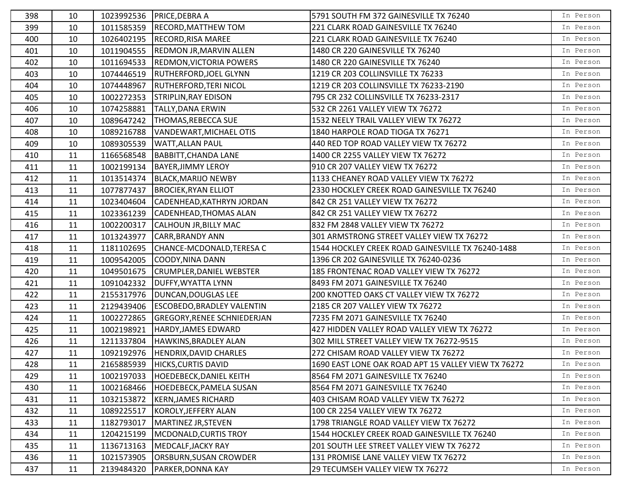| 398 | 10 |            | 1023992536   PRICE, DEBRA A        | 5791 SOUTH FM 372 GAINESVILLE TX 76240              | In Person |
|-----|----|------------|------------------------------------|-----------------------------------------------------|-----------|
| 399 | 10 | 1011585359 | <b>RECORD, MATTHEW TOM</b>         | 221 CLARK ROAD GAINESVILLE TX 76240                 | In Person |
| 400 | 10 | 1026402195 | <b>RECORD, RISA MAREE</b>          | 221 CLARK ROAD GAINESVILLE TX 76240                 | In Person |
| 401 | 10 | 1011904555 | <b>REDMON JR, MARVIN ALLEN</b>     | 1480 CR 220 GAINESVILLE TX 76240                    | In Person |
| 402 | 10 | 1011694533 | <b>REDMON, VICTORIA POWERS</b>     | 1480 CR 220 GAINESVILLE TX 76240                    | In Person |
| 403 | 10 | 1074446519 | <b>RUTHERFORD, JOEL GLYNN</b>      | 1219 CR 203 COLLINSVILLE TX 76233                   | In Person |
| 404 | 10 | 1074448967 | <b>RUTHERFORD, TERI NICOL</b>      | 1219 CR 203 COLLINSVILLE TX 76233-2190              | In Person |
| 405 | 10 | 1002272353 | <b>STRIPLIN, RAY EDISON</b>        | 795 CR 232 COLLINSVILLE TX 76233-2317               | In Person |
| 406 | 10 | 1074258881 | <b>TALLY, DANA ERWIN</b>           | 532 CR 2261 VALLEY VIEW TX 76272                    | In Person |
| 407 | 10 | 1089647242 | THOMAS, REBECCA SUE                | 1532 NEELY TRAIL VALLEY VIEW TX 76272               | In Person |
| 408 | 10 | 1089216788 | VANDEWART, MICHAEL OTIS            | 1840 HARPOLE ROAD TIOGA TX 76271                    | In Person |
| 409 | 10 | 1089305539 | <b>WATT, ALLAN PAUL</b>            | 440 RED TOP ROAD VALLEY VIEW TX 76272               | In Person |
| 410 | 11 | 1166568548 | <b>BABBITT, CHANDA LANE</b>        | 1400 CR 2255 VALLEY VIEW TX 76272                   | In Person |
| 411 | 11 | 1002199134 | <b>BAYER, JIMMY LEROY</b>          | 910 CR 207 VALLEY VIEW TX 76272                     | In Person |
| 412 | 11 | 1013514374 | <b>BLACK, MARIJO NEWBY</b>         | 1133 CHEANEY ROAD VALLEY VIEW TX 76272              | In Person |
| 413 | 11 | 1077877437 | <b>BROCIEK, RYAN ELLIOT</b>        | 2330 HOCKLEY CREEK ROAD GAINESVILLE TX 76240        | In Person |
| 414 | 11 | 1023404604 | CADENHEAD, KATHRYN JORDAN          | 842 CR 251 VALLEY VIEW TX 76272                     | In Person |
| 415 | 11 | 1023361239 | CADENHEAD, THOMAS ALAN             | 842 CR 251 VALLEY VIEW TX 76272                     | In Person |
| 416 | 11 | 1002200317 | <b>CALHOUN JR, BILLY MAC</b>       | 832 FM 2848 VALLEY VIEW TX 76272                    | In Person |
| 417 | 11 | 1013243977 | <b>CARR, BRANDY ANN</b>            | 301 ARMSTRONG STREET VALLEY VIEW TX 76272           | In Person |
| 418 | 11 | 1181102695 | CHANCE-MCDONALD, TERESA C          | 1544 HOCKLEY CREEK ROAD GAINESVILLE TX 76240-1488   | In Person |
| 419 | 11 | 1009542005 | <b>COODY, NINA DANN</b>            | 1396 CR 202 GAINESVILLE TX 76240-0236               | In Person |
| 420 | 11 | 1049501675 | CRUMPLER, DANIEL WEBSTER           | 185 FRONTENAC ROAD VALLEY VIEW TX 76272             | In Person |
| 421 | 11 | 1091042332 | DUFFY, WYATTA LYNN                 | 8493 FM 2071 GAINESVILLE TX 76240                   | In Person |
| 422 | 11 | 2155317976 | DUNCAN, DOUGLAS LEE                | 200 KNOTTED OAKS CT VALLEY VIEW TX 76272            | In Person |
| 423 | 11 | 2129439406 | <b>ESCOBEDO, BRADLEY VALENTIN</b>  | 2185 CR 207 VALLEY VIEW TX 76272                    | In Person |
| 424 | 11 | 1002272865 | <b>GREGORY, RENEE SCHNIEDERJAN</b> | 7235 FM 2071 GAINESVILLE TX 76240                   | In Person |
| 425 | 11 | 1002198921 | HARDY, JAMES EDWARD                | 427 HIDDEN VALLEY ROAD VALLEY VIEW TX 76272         | In Person |
| 426 | 11 | 1211337804 | HAWKINS, BRADLEY ALAN              | 302 MILL STREET VALLEY VIEW TX 76272-9515           | In Person |
| 427 | 11 | 1092192976 | HENDRIX, DAVID CHARLES             | 272 CHISAM ROAD VALLEY VIEW TX 76272                | In Person |
| 428 | 11 | 2165885939 | <b>HICKS, CURTIS DAVID</b>         | 1690 EAST LONE OAK ROAD APT 15 VALLEY VIEW TX 76272 | In Person |
| 429 | 11 | 1002197033 | <b>HOEDEBECK, DANIEL KEITH</b>     | 8564 FM 2071 GAINESVILLE TX 76240                   | In Person |
| 430 | 11 | 1002168466 | <b>HOEDEBECK, PAMELA SUSAN</b>     | 8564 FM 2071 GAINESVILLE TX 76240                   | In Person |
| 431 | 11 | 1032153872 | <b>KERN, JAMES RICHARD</b>         | 403 CHISAM ROAD VALLEY VIEW TX 76272                | In Person |
| 432 | 11 | 1089225517 | KOROLY, JEFFERY ALAN               | 100 CR 2254 VALLEY VIEW TX 76272                    | In Person |
| 433 | 11 | 1182793017 | MARTINEZ JR, STEVEN                | 1798 TRIANGLE ROAD VALLEY VIEW TX 76272             | In Person |
| 434 | 11 | 1204215199 | MCDONALD, CURTIS TROY              | 1544 HOCKLEY CREEK ROAD GAINESVILLE TX 76240        | In Person |
| 435 | 11 | 1136713163 | MEDCALF, JACKY RAY                 | 201 SOUTH LEE STREET VALLEY VIEW TX 76272           | In Person |
| 436 | 11 | 1021573905 | ORSBURN, SUSAN CROWDER             | 131 PROMISE LANE VALLEY VIEW TX 76272               | In Person |
| 437 | 11 | 2139484320 | PARKER, DONNA KAY                  | 29 TECUMSEH VALLEY VIEW TX 76272                    | In Person |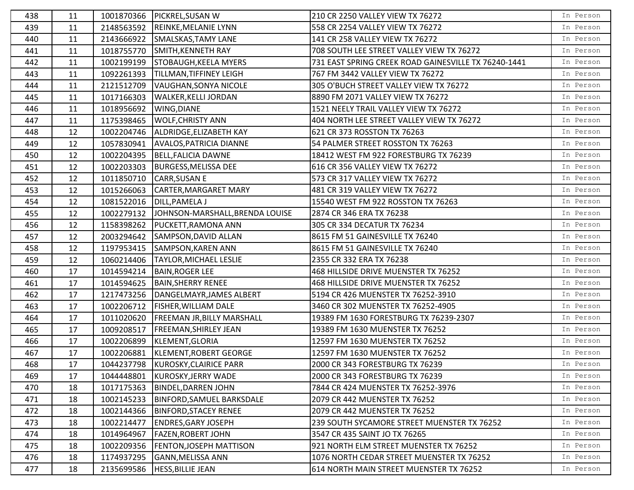| 438 | 11 |            | 1001870366 PICKREL, SUSAN W       | 210 CR 2250 VALLEY VIEW TX 76272                     | In Person |
|-----|----|------------|-----------------------------------|------------------------------------------------------|-----------|
| 439 | 11 | 2148563592 | REINKE, MELANIE LYNN              | 558 CR 2254 VALLEY VIEW TX 76272                     | In Person |
| 440 | 11 | 2143666922 | SMALSKAS, TAMY LANE               | 141 CR 258 VALLEY VIEW TX 76272                      | In Person |
| 441 | 11 | 1018755770 | SMITH, KENNETH RAY                | 708 SOUTH LEE STREET VALLEY VIEW TX 76272            | In Person |
| 442 | 11 | 1002199199 | STOBAUGH, KEELA MYERS             | 731 EAST SPRING CREEK ROAD GAINESVILLE TX 76240-1441 | In Person |
| 443 | 11 | 1092261393 | <b>TILLMAN, TIFFINEY LEIGH</b>    | 767 FM 3442 VALLEY VIEW TX 76272                     | In Person |
| 444 | 11 | 2121512709 | VAUGHAN, SONYA NICOLE             | 305 O'BUCH STREET VALLEY VIEW TX 76272               | In Person |
| 445 | 11 | 1017166303 | <b>WALKER, KELLI JORDAN</b>       | 8890 FM 2071 VALLEY VIEW TX 76272                    | In Person |
| 446 | 11 | 1018956692 | WING, DIANE                       | 1521 NEELY TRAIL VALLEY VIEW TX 76272                | In Person |
| 447 | 11 | 1175398465 | <b>WOLF, CHRISTY ANN</b>          | 404 NORTH LEE STREET VALLEY VIEW TX 76272            | In Person |
| 448 | 12 | 1002204746 | ALDRIDGE, ELIZABETH KAY           | 621 CR 373 ROSSTON TX 76263                          | In Person |
| 449 | 12 | 1057830941 | <b>AVALOS, PATRICIA DIANNE</b>    | 54 PALMER STREET ROSSTON TX 76263                    | In Person |
| 450 | 12 | 1002204395 | <b>BELL, FALICIA DAWNE</b>        | 18412 WEST FM 922 FORESTBURG TX 76239                | In Person |
| 451 | 12 | 1002203303 | <b>BURGESS, MELISSA DEE</b>       | 616 CR 356 VALLEY VIEW TX 76272                      | In Person |
| 452 | 12 | 1011850710 | <b>CARR, SUSAN E</b>              | 573 CR 317 VALLEY VIEW TX 76272                      | In Person |
| 453 | 12 | 1015266063 | CARTER, MARGARET MARY             | 481 CR 319 VALLEY VIEW TX 76272                      | In Person |
| 454 | 12 | 1081522016 | <b>DILL, PAMELA J</b>             | 15540 WEST FM 922 ROSSTON TX 76263                   | In Person |
| 455 | 12 | 1002279132 | JOHNSON-MARSHALL, BRENDA LOUISE   | 2874 CR 346 ERA TX 76238                             | In Person |
| 456 | 12 | 1158398262 | PUCKETT, RAMONA ANN               | 305 CR 334 DECATUR TX 76234                          | In Person |
| 457 | 12 | 2003294642 | SAMPSON, DAVID ALLAN              | 8615 FM 51 GAINESVILLE TX 76240                      | In Person |
| 458 | 12 | 1197953415 | SAMPSON, KAREN ANN                | 8615 FM 51 GAINESVILLE TX 76240                      | In Person |
| 459 | 12 | 1060214406 | <b>TAYLOR, MICHAEL LESLIE</b>     | 2355 CR 332 ERA TX 76238                             | In Person |
| 460 | 17 | 1014594214 | <b>BAIN, ROGER LEE</b>            | 468 HILLSIDE DRIVE MUENSTER TX 76252                 | In Person |
| 461 | 17 | 1014594625 | <b>BAIN, SHERRY RENEE</b>         | 468 HILLSIDE DRIVE MUENSTER TX 76252                 | In Person |
| 462 | 17 | 1217473256 | DANGELMAYR, JAMES ALBERT          | 5194 CR 426 MUENSTER TX 76252-3910                   | In Person |
| 463 | 17 | 1002206712 | <b>FISHER, WILLIAM DALE</b>       | 3460 CR 302 MUENSTER TX 76252-4905                   | In Person |
| 464 | 17 | 1011020620 | <b>FREEMAN JR, BILLY MARSHALL</b> | 19389 FM 1630 FORESTBURG TX 76239-2307               | In Person |
| 465 | 17 | 1009208517 | <b>FREEMAN, SHIRLEY JEAN</b>      | 19389 FM 1630 MUENSTER TX 76252                      | In Person |
| 466 | 17 | 1002206899 | KLEMENT, GLORIA                   | 12597 FM 1630 MUENSTER TX 76252                      | In Person |
| 467 | 17 | 1002206881 | KLEMENT, ROBERT GEORGE            | 12597 FM 1630 MUENSTER TX 76252                      | In Person |
| 468 | 17 |            | 1044237798 KUROSKY, CLAIRICE PARR | 2000 CR 343 FORESTBURG TX 76239                      | In Person |
| 469 | 17 | 1044448801 | KUROSKY, JERRY WADE               | 2000 CR 343 FORESTBURG TX 76239                      | In Person |
| 470 | 18 | 1017175363 | <b>BINDEL, DARREN JOHN</b>        | 7844 CR 424 MUENSTER TX 76252-3976                   | In Person |
| 471 | 18 | 1002145233 | <b>BINFORD, SAMUEL BARKSDALE</b>  | 2079 CR 442 MUENSTER TX 76252                        | In Person |
| 472 | 18 | 1002144366 | <b>BINFORD, STACEY RENEE</b>      | 2079 CR 442 MUENSTER TX 76252                        | In Person |
| 473 | 18 | 1002214477 | <b>ENDRES, GARY JOSEPH</b>        | 239 SOUTH SYCAMORE STREET MUENSTER TX 76252          | In Person |
| 474 | 18 | 1014964967 | <b>FAZEN, ROBERT JOHN</b>         | 3547 CR 435 SAINT JO TX 76265                        | In Person |
| 475 | 18 | 1002209356 | <b>FENTON, JOSEPH MATTISON</b>    | 921 NORTH ELM STREET MUENSTER TX 76252               | In Person |
| 476 | 18 | 1174937295 | <b>GANN, MELISSA ANN</b>          | 1076 NORTH CEDAR STREET MUENSTER TX 76252            | In Person |
| 477 | 18 | 2135699586 | <b>HESS, BILLIE JEAN</b>          | 614 NORTH MAIN STREET MUENSTER TX 76252              | In Person |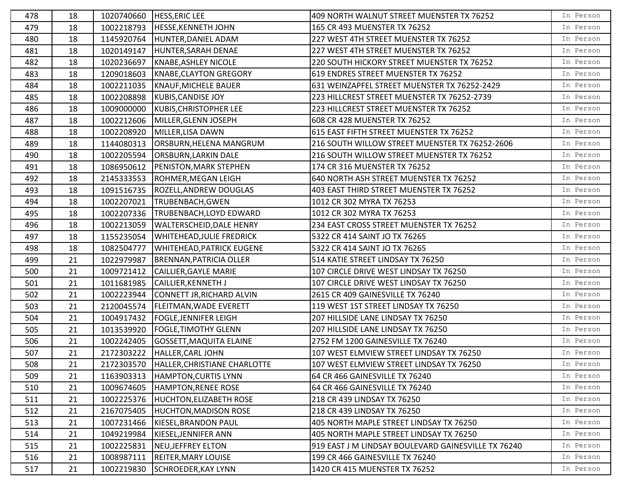| 478 | 18 | 1020740660 | <b>HESS, ERIC LEE</b>            | 409 NORTH WALNUT STREET MUENSTER TX 76252           | In Person |
|-----|----|------------|----------------------------------|-----------------------------------------------------|-----------|
| 479 | 18 | 1002218793 | <b>HESSE, KENNETH JOHN</b>       | 165 CR 493 MUENSTER TX 76252                        | In Person |
| 480 | 18 | 1145920764 | HUNTER, DANIEL ADAM              | 227 WEST 4TH STREET MUENSTER TX 76252               | In Person |
| 481 | 18 | 1020149147 | HUNTER, SARAH DENAE              | 227 WEST 4TH STREET MUENSTER TX 76252               | In Person |
| 482 | 18 | 1020236697 | KNABE, ASHLEY NICOLE             | 220 SOUTH HICKORY STREET MUENSTER TX 76252          | In Person |
| 483 | 18 | 1209018603 | KNABE, CLAYTON GREGORY           | 619 ENDRES STREET MUENSTER TX 76252                 | In Person |
| 484 | 18 | 1002211035 | KNAUF, MICHELE BAUER             | 631 WEINZAPFEL STREET MUENSTER TX 76252-2429        | In Person |
| 485 | 18 | 1002208898 | KUBIS, CANDISE JOY               | 223 HILLCREST STREET MUENSTER TX 76252-2739         | In Person |
| 486 | 18 | 1009000000 | KUBIS, CHRISTOPHER LEE           | 223 HILLCREST STREET MUENSTER TX 76252              | In Person |
| 487 | 18 | 1002212606 | MILLER, GLENN JOSEPH             | 608 CR 428 MUENSTER TX 76252                        | In Person |
| 488 | 18 | 1002208920 | MILLER, LISA DAWN                | 615 EAST FIFTH STREET MUENSTER TX 76252             | In Person |
| 489 | 18 | 1144080313 | ORSBURN, HELENA MANGRUM          | 216 SOUTH WILLOW STREET MUENSTER TX 76252-2606      | In Person |
| 490 | 18 | 1002205594 | <b>ORSBURN, LARKIN DALE</b>      | 216 SOUTH WILLOW STREET MUENSTER TX 76252           | In Person |
| 491 | 18 | 1086950612 | PENISTON, MARK STEPHEN           | 174 CR 316 MUENSTER TX 76252                        | In Person |
| 492 | 18 | 2145333553 | ROHMER, MEGAN LEIGH              | 640 NORTH ASH STREET MUENSTER TX 76252              | In Person |
| 493 | 18 | 1091516735 | ROZELL, ANDREW DOUGLAS           | 403 EAST THIRD STREET MUENSTER TX 76252             | In Person |
| 494 | 18 | 1002207021 | TRUBENBACH, GWEN                 | 1012 CR 302 MYRA TX 76253                           | In Person |
| 495 | 18 | 1002207336 | <b>TRUBENBACH, LOYD EDWARD</b>   | 1012 CR 302 MYRA TX 76253                           | In Person |
| 496 | 18 | 1002213059 | <b>WALTERSCHEID, DALE HENRY</b>  | 234 EAST CROSS STREET MUENSTER TX 76252             | In Person |
| 497 | 18 | 1155235054 | <b>WHITEHEAD, JULIE FREDRICK</b> | 5322 CR 414 SAINT JO TX 76265                       | In Person |
| 498 | 18 | 1082504777 | <b>WHITEHEAD, PATRICK EUGENE</b> | 5322 CR 414 SAINT JO TX 76265                       | In Person |
| 499 | 21 | 1022979987 | <b>BRENNAN, PATRICIA OLLER</b>   | 514 KATIE STREET LINDSAY TX 76250                   | In Person |
| 500 | 21 | 1009721412 | CAILLIER, GAYLE MARIE            | 107 CIRCLE DRIVE WEST LINDSAY TX 76250              | In Person |
| 501 | 21 | 1011681985 | CAILLIER, KENNETH J              | 107 CIRCLE DRIVE WEST LINDSAY TX 76250              | In Person |
| 502 | 21 | 1002223944 | CONNETT JR, RICHARD ALVIN        | 2615 CR 409 GAINESVILLE TX 76240                    | In Person |
| 503 | 21 | 2120045574 | <b>FLEITMAN, WADE EVERETT</b>    | 119 WEST 1ST STREET LINDSAY TX 76250                | In Person |
| 504 | 21 | 1004917432 | <b>FOGLE, JENNIFER LEIGH</b>     | 207 HILLSIDE LANE LINDSAY TX 76250                  | In Person |
| 505 | 21 | 1013539920 | <b>FOGLE, TIMOTHY GLENN</b>      | 207 HILLSIDE LANE LINDSAY TX 76250                  | In Person |
| 506 | 21 | 1002242405 | <b>GOSSETT, MAQUITA ELAINE</b>   | 2752 FM 1200 GAINESVILLE TX 76240                   | In Person |
| 507 | 21 | 2172303222 | HALLER, CARL JOHN                | 107 WEST ELMVIEW STREET LINDSAY TX 76250            | In Person |
| 508 | 21 | 2172303570 | HALLER, CHRISTIANE CHARLOTTE     | 107 WEST ELMVIEW STREET LINDSAY TX 76250            | In Person |
| 509 | 21 | 1163903313 | <b>HAMPTON, CURTIS LYNN</b>      | 64 CR 466 GAINESVILLE TX 76240                      | In Person |
| 510 | 21 | 1009674605 | HAMPTON, RENEE ROSE              | 64 CR 466 GAINESVILLE TX 76240                      | In Person |
| 511 | 21 | 1002225376 | <b>HUCHTON, ELIZABETH ROSE</b>   | 218 CR 439 LINDSAY TX 76250                         | In Person |
| 512 | 21 | 2167075405 | <b>HUCHTON, MADISON ROSE</b>     | 218 CR 439 LINDSAY TX 76250                         | In Person |
| 513 | 21 | 1007231466 | KIESEL, BRANDON PAUL             | 405 NORTH MAPLE STREET LINDSAY TX 76250             | In Person |
| 514 | 21 | 1049219984 | KIESEL, JENNIFER ANN             | 405 NORTH MAPLE STREET LINDSAY TX 76250             | In Person |
| 515 | 21 | 1002225831 | <b>NEU, JEFFREY ELTON</b>        | 919 EAST J M LINDSAY BOULEVARD GAINESVILLE TX 76240 | In Person |
| 516 | 21 | 1008987111 | <b>REITER, MARY LOUISE</b>       | 199 CR 466 GAINESVILLE TX 76240                     | In Person |
| 517 | 21 | 1002219830 | SCHROEDER, KAY LYNN              | 1420 CR 415 MUENSTER TX 76252                       | In Person |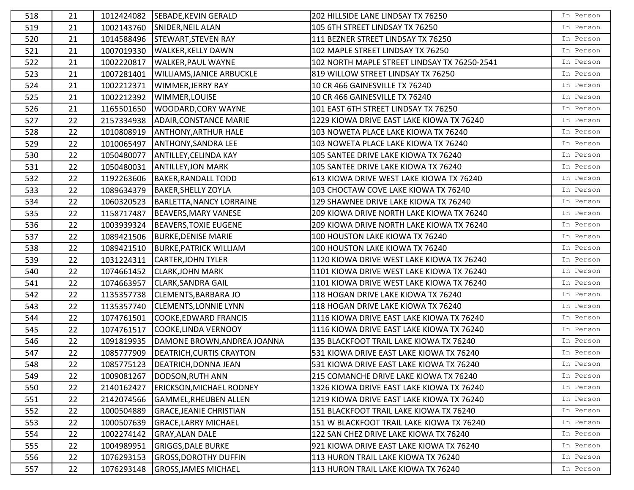| 518 | 21 | 1012424082 | SEBADE, KEVIN GERALD              | 202 HILLSIDE LANE LINDSAY TX 76250           | In Person |
|-----|----|------------|-----------------------------------|----------------------------------------------|-----------|
| 519 | 21 | 1002143760 | SNIDER, NEIL ALAN                 | 105 6TH STREET LINDSAY TX 76250              | In Person |
| 520 | 21 | 1014588496 | <b>STEWART, STEVEN RAY</b>        | 111 BEZNER STREET LINDSAY TX 76250           | In Person |
| 521 | 21 | 1007019330 | <b>WALKER, KELLY DAWN</b>         | 102 MAPLE STREET LINDSAY TX 76250            | In Person |
| 522 | 21 | 1002220817 | <b>WALKER, PAUL WAYNE</b>         | 102 NORTH MAPLE STREET LINDSAY TX 76250-2541 | In Person |
| 523 | 21 | 1007281401 | <b>WILLIAMS, JANICE ARBUCKLE</b>  | 819 WILLOW STREET LINDSAY TX 76250           | In Person |
| 524 | 21 | 1002212371 | <b>WIMMER, JERRY RAY</b>          | 10 CR 466 GAINESVILLE TX 76240               | In Person |
| 525 | 21 | 1002212392 | WIMMER, LOUISE                    | 10 CR 466 GAINESVILLE TX 76240               | In Person |
| 526 | 21 | 1165501650 | WOODARD, CORY WAYNE               | 101 EAST 6TH STREET LINDSAY TX 76250         | In Person |
| 527 | 22 | 2157334938 | <b>ADAIR, CONSTANCE MARIE</b>     | 1229 KIOWA DRIVE EAST LAKE KIOWA TX 76240    | In Person |
| 528 | 22 | 1010808919 | <b>ANTHONY, ARTHUR HALE</b>       | 103 NOWETA PLACE LAKE KIOWA TX 76240         | In Person |
| 529 | 22 | 1010065497 | <b>ANTHONY, SANDRA LEE</b>        | 103 NOWETA PLACE LAKE KIOWA TX 76240         | In Person |
| 530 | 22 | 1050480077 | <b>ANTILLEY, CELINDA KAY</b>      | 105 SANTEE DRIVE LAKE KIOWA TX 76240         | In Person |
| 531 | 22 | 1050480031 | <b>ANTILLEY, JON MARK</b>         | 105 SANTEE DRIVE LAKE KIOWA TX 76240         | In Person |
| 532 | 22 | 1192263606 | <b>BAKER, RANDALL TODD</b>        | 613 KIOWA DRIVE WEST LAKE KIOWA TX 76240     | In Person |
| 533 | 22 | 1089634379 | <b>BAKER, SHELLY ZOYLA</b>        | 103 CHOCTAW COVE LAKE KIOWA TX 76240         | In Person |
| 534 | 22 | 1060320523 | BARLETTA, NANCY LORRAINE          | 129 SHAWNEE DRIVE LAKE KIOWA TX 76240        | In Person |
| 535 | 22 | 1158717487 | <b>BEAVERS, MARY VANESE</b>       | 209 KIOWA DRIVE NORTH LAKE KIOWA TX 76240    | In Person |
| 536 | 22 | 1003939324 | <b>BEAVERS, TOXIE EUGENE</b>      | 209 KIOWA DRIVE NORTH LAKE KIOWA TX 76240    | In Person |
| 537 | 22 | 1089421506 | <b>BURKE, DENISE MARIE</b>        | 100 HOUSTON LAKE KIOWA TX 76240              | In Person |
| 538 | 22 | 1089421510 | <b>BURKE, PATRICK WILLIAM</b>     | 100 HOUSTON LAKE KIOWA TX 76240              | In Person |
| 539 | 22 | 1031224311 | <b>CARTER, JOHN TYLER</b>         | 1120 KIOWA DRIVE WEST LAKE KIOWA TX 76240    | In Person |
| 540 | 22 | 1074661452 | <b>CLARK, JOHN MARK</b>           | 1101 KIOWA DRIVE WEST LAKE KIOWA TX 76240    | In Person |
| 541 | 22 | 1074663957 | <b>CLARK, SANDRA GAIL</b>         | 1101 KIOWA DRIVE WEST LAKE KIOWA TX 76240    | In Person |
| 542 | 22 | 1135357738 | CLEMENTS, BARBARA JO              | 118 HOGAN DRIVE LAKE KIOWA TX 76240          | In Person |
| 543 | 22 | 1135357740 | <b>CLEMENTS, LONNIE LYNN</b>      | 118 HOGAN DRIVE LAKE KIOWA TX 76240          | In Person |
| 544 | 22 | 1074761501 | COOKE, EDWARD FRANCIS             | 1116 KIOWA DRIVE EAST LAKE KIOWA TX 76240    | In Person |
| 545 | 22 | 1074761517 | COOKE, LINDA VERNOOY              | 1116 KIOWA DRIVE EAST LAKE KIOWA TX 76240    | In Person |
| 546 | 22 | 1091819935 | DAMONE BROWN, ANDREA JOANNA       | 135 BLACKFOOT TRAIL LAKE KIOWA TX 76240      | In Person |
| 547 | 22 | 1085777909 | DEATRICH, CURTIS CRAYTON          | 531 KIOWA DRIVE EAST LAKE KIOWA TX 76240     | In Person |
| 548 | 22 |            | 1085775123   DEATRICH, DONNA JEAN | 531 KIOWA DRIVE EAST LAKE KIOWA TX 76240     | In Person |
| 549 | 22 | 1009081267 | DODSON, RUTH ANN                  | 215 COMANCHE DRIVE LAKE KIOWA TX 76240       | In Person |
| 550 | 22 | 2140162427 | <b>ERICKSON, MICHAEL RODNEY</b>   | 1326 KIOWA DRIVE EAST LAKE KIOWA TX 76240    | In Person |
| 551 | 22 | 2142074566 | GAMMEL,RHEUBEN ALLEN              | 1219 KIOWA DRIVE EAST LAKE KIOWA TX 76240    | In Person |
| 552 | 22 | 1000504889 | <b>GRACE, JEANIE CHRISTIAN</b>    | 151 BLACKFOOT TRAIL LAKE KIOWA TX 76240      | In Person |
| 553 | 22 | 1000507639 | <b>GRACE, LARRY MICHAEL</b>       | 151 W BLACKFOOT TRAIL LAKE KIOWA TX 76240    | In Person |
| 554 | 22 | 1002274142 | <b>GRAY, ALAN DALE</b>            | 122 SAN CHEZ DRIVE LAKE KIOWA TX 76240       | In Person |
| 555 | 22 | 1004989951 | <b>GRIGGS, DALE BURKE</b>         | 921 KIOWA DRIVE EAST LAKE KIOWA TX 76240     | In Person |
| 556 | 22 | 1076293153 | <b>GROSS, DOROTHY DUFFIN</b>      | 113 HURON TRAIL LAKE KIOWA TX 76240          | In Person |
| 557 | 22 | 1076293148 | <b>GROSS, JAMES MICHAEL</b>       | 113 HURON TRAIL LAKE KIOWA TX 76240          | In Person |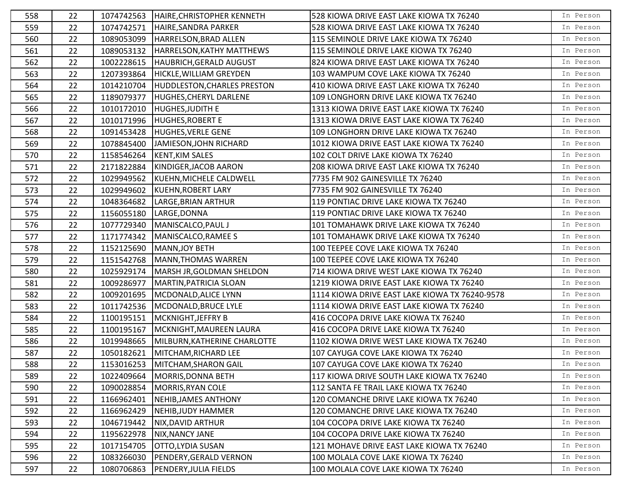| 558 | 22 | 1074742563 | HAIRE, CHRISTOPHER KENNETH         | 528 KIOWA DRIVE EAST LAKE KIOWA TX 76240       | In Person |
|-----|----|------------|------------------------------------|------------------------------------------------|-----------|
| 559 | 22 | 1074742571 | HAIRE, SANDRA PARKER               | 528 KIOWA DRIVE EAST LAKE KIOWA TX 76240       | In Person |
| 560 | 22 | 1089053099 | HARRELSON, BRAD ALLEN              | 115 SEMINOLE DRIVE LAKE KIOWA TX 76240         | In Person |
| 561 | 22 | 1089053132 | HARRELSON, KATHY MATTHEWS          | 115 SEMINOLE DRIVE LAKE KIOWA TX 76240         | In Person |
| 562 | 22 | 1002228615 | <b>HAUBRICH, GERALD AUGUST</b>     | 824 KIOWA DRIVE EAST LAKE KIOWA TX 76240       | In Person |
| 563 | 22 | 1207393864 | HICKLE, WILLIAM GREYDEN            | 103 WAMPUM COVE LAKE KIOWA TX 76240            | In Person |
| 564 | 22 | 1014210704 | <b>HUDDLESTON, CHARLES PRESTON</b> | 410 KIOWA DRIVE EAST LAKE KIOWA TX 76240       | In Person |
| 565 | 22 | 1189079377 | <b>HUGHES, CHERYL DARLENE</b>      | 109 LONGHORN DRIVE LAKE KIOWA TX 76240         | In Person |
| 566 | 22 | 1010172010 | HUGHES, JUDITH E                   | 1313 KIOWA DRIVE EAST LAKE KIOWA TX 76240      | In Person |
| 567 | 22 | 1010171996 | <b>HUGHES, ROBERT E</b>            | 1313 KIOWA DRIVE EAST LAKE KIOWA TX 76240      | In Person |
| 568 | 22 | 1091453428 | <b>HUGHES, VERLE GENE</b>          | 109 LONGHORN DRIVE LAKE KIOWA TX 76240         | In Person |
| 569 | 22 | 1078845400 | JAMIESON, JOHN RICHARD             | 1012 KIOWA DRIVE EAST LAKE KIOWA TX 76240      | In Person |
| 570 | 22 | 1158546264 | <b>KENT, KIM SALES</b>             | 102 COLT DRIVE LAKE KIOWA TX 76240             | In Person |
| 571 | 22 | 2171822884 | KINDIGER, JACOB AARON              | 208 KIOWA DRIVE EAST LAKE KIOWA TX 76240       | In Person |
| 572 | 22 | 1029949562 | KUEHN, MICHELE CALDWELL            | 7735 FM 902 GAINESVILLE TX 76240               | In Person |
| 573 | 22 | 1029949602 | KUEHN, ROBERT LARY                 | 7735 FM 902 GAINESVILLE TX 76240               | In Person |
| 574 | 22 | 1048364682 | LARGE, BRIAN ARTHUR                | 119 PONTIAC DRIVE LAKE KIOWA TX 76240          | In Person |
| 575 | 22 | 1156055180 | LARGE, DONNA                       | 119 PONTIAC DRIVE LAKE KIOWA TX 76240          | In Person |
| 576 | 22 | 1077729340 | MANISCALCO, PAUL J                 | 101 TOMAHAWK DRIVE LAKE KIOWA TX 76240         | In Person |
| 577 | 22 | 1171774342 | MANISCALCO, RAMEE S                | 101 TOMAHAWK DRIVE LAKE KIOWA TX 76240         | In Person |
| 578 | 22 | 1152125690 | MANN, JOY BETH                     | 100 TEEPEE COVE LAKE KIOWA TX 76240            | In Person |
| 579 | 22 | 1151542768 | <b>MANN, THOMAS WARREN</b>         | 100 TEEPEE COVE LAKE KIOWA TX 76240            | In Person |
| 580 | 22 | 1025929174 | MARSH JR, GOLDMAN SHELDON          | 714 KIOWA DRIVE WEST LAKE KIOWA TX 76240       | In Person |
| 581 | 22 | 1009286977 | <b>MARTIN, PATRICIA SLOAN</b>      | 1219 KIOWA DRIVE EAST LAKE KIOWA TX 76240      | In Person |
| 582 | 22 | 1009201695 | MCDONALD, ALICE LYNN               | 1114 KIOWA DRIVE EAST LAKE KIOWA TX 76240-9578 | In Person |
| 583 | 22 | 1011742536 | MCDONALD, BRUCE LYLE               | 1114 KIOWA DRIVE EAST LAKE KIOWA TX 76240      | In Person |
| 584 | 22 | 1100195151 | MCKNIGHT, JEFFRY B                 | 416 COCOPA DRIVE LAKE KIOWA TX 76240           | In Person |
| 585 | 22 | 1100195167 | MCKNIGHT, MAUREEN LAURA            | 416 COCOPA DRIVE LAKE KIOWA TX 76240           | In Person |
| 586 | 22 | 1019948665 | MILBURN, KATHERINE CHARLOTTE       | 1102 KIOWA DRIVE WEST LAKE KIOWA TX 76240      | In Person |
| 587 | 22 | 1050182621 | MITCHAM, RICHARD LEE               | 107 CAYUGA COVE LAKE KIOWA TX 76240            | In Person |
| 588 | 22 | 1153016253 | MITCHAM, SHARON GAIL               | 107 CAYUGA COVE LAKE KIOWA TX 76240            | In Person |
| 589 | 22 | 1022409664 | <b>MORRIS, DONNA BETH</b>          | 117 KIOWA DRIVE SOUTH LAKE KIOWA TX 76240      | In Person |
| 590 | 22 | 1090028854 | MORRIS, RYAN COLE                  | 112 SANTA FE TRAIL LAKE KIOWA TX 76240         | In Person |
| 591 | 22 | 1166962401 | NEHIB, JAMES ANTHONY               | 120 COMANCHE DRIVE LAKE KIOWA TX 76240         | In Person |
| 592 | 22 | 1166962429 | NEHIB, JUDY HAMMER                 | 120 COMANCHE DRIVE LAKE KIOWA TX 76240         | In Person |
| 593 | 22 | 1046719442 | <b>NIX, DAVID ARTHUR</b>           | 104 COCOPA DRIVE LAKE KIOWA TX 76240           | In Person |
| 594 | 22 | 1195622978 | NIX, NANCY JANE                    | 104 COCOPA DRIVE LAKE KIOWA TX 76240           | In Person |
| 595 | 22 | 1017154705 | OTTO, LYDIA SUSAN                  | 121 MOHAVE DRIVE EAST LAKE KIOWA TX 76240      | In Person |
| 596 | 22 | 1083266030 | PENDERY, GERALD VERNON             | 100 MOLALA COVE LAKE KIOWA TX 76240            | In Person |
| 597 | 22 | 1080706863 | PENDERY, JULIA FIELDS              | 100 MOLALA COVE LAKE KIOWA TX 76240            | In Person |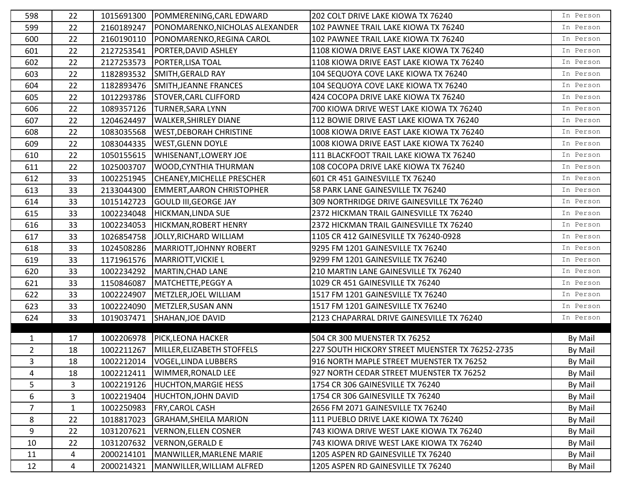| 598            | 22           | 1015691300 | POMMERENING, CARL EDWARD          | 202 COLT DRIVE LAKE KIOWA TX 76240              | In Person |
|----------------|--------------|------------|-----------------------------------|-------------------------------------------------|-----------|
| 599            | 22           | 2160189247 | PONOMARENKO, NICHOLAS ALEXANDER   | 102 PAWNEE TRAIL LAKE KIOWA TX 76240            | In Person |
| 600            | 22           | 2160190110 | PONOMARENKO, REGINA CAROL         | 102 PAWNEE TRAIL LAKE KIOWA TX 76240            | In Person |
| 601            | 22           | 2127253541 | PORTER, DAVID ASHLEY              | 1108 KIOWA DRIVE EAST LAKE KIOWA TX 76240       | In Person |
| 602            | 22           | 2127253573 | PORTER, LISA TOAL                 | 1108 KIOWA DRIVE EAST LAKE KIOWA TX 76240       | In Person |
| 603            | 22           | 1182893532 | SMITH, GERALD RAY                 | 104 SEQUOYA COVE LAKE KIOWA TX 76240            | In Person |
| 604            | 22           | 1182893476 | SMITH, JEANNE FRANCES             | 104 SEQUOYA COVE LAKE KIOWA TX 76240            | In Person |
| 605            | 22           | 1012293786 | <b>STOVER, CARL CLIFFORD</b>      | 424 COCOPA DRIVE LAKE KIOWA TX 76240            | In Person |
| 606            | 22           | 1089357126 | <b>TURNER, SARA LYNN</b>          | 700 KIOWA DRIVE WEST LAKE KIOWA TX 76240        | In Person |
| 607            | 22           | 1204624497 | <b>WALKER, SHIRLEY DIANE</b>      | 112 BOWIE DRIVE EAST LAKE KIOWA TX 76240        | In Person |
| 608            | 22           | 1083035568 | <b>WEST, DEBORAH CHRISTINE</b>    | 1008 KIOWA DRIVE EAST LAKE KIOWA TX 76240       | In Person |
| 609            | 22           | 1083044335 | <b>WEST, GLENN DOYLE</b>          | 1008 KIOWA DRIVE EAST LAKE KIOWA TX 76240       | In Person |
| 610            | 22           | 1050155615 | <b>WHISENANT, LOWERY JOE</b>      | 111 BLACKFOOT TRAIL LAKE KIOWA TX 76240         | In Person |
| 611            | 22           | 1025003707 | <b>WOOD, CYNTHIA THURMAN</b>      | 108 COCOPA DRIVE LAKE KIOWA TX 76240            | In Person |
| 612            | 33           | 1002251945 | <b>CHEANEY, MICHELLE PRESCHER</b> | 601 CR 451 GAINESVILLE TX 76240                 | In Person |
| 613            | 33           | 2133044300 | <b>EMMERT, AARON CHRISTOPHER</b>  | 58 PARK LANE GAINESVILLE TX 76240               | In Person |
| 614            | 33           | 1015142723 | <b>GOULD III, GEORGE JAY</b>      | 309 NORTHRIDGE DRIVE GAINESVILLE TX 76240       | In Person |
| 615            | 33           | 1002234048 | HICKMAN, LINDA SUE                | 2372 HICKMAN TRAIL GAINESVILLE TX 76240         | In Person |
| 616            | 33           | 1002234053 | HICKMAN, ROBERT HENRY             | 2372 HICKMAN TRAIL GAINESVILLE TX 76240         | In Person |
| 617            | 33           | 1026854758 | JOLLY, RICHARD WILLIAM            | 1105 CR 412 GAINESVILLE TX 76240-0928           | In Person |
| 618            | 33           | 1024508286 | MARRIOTT, JOHNNY ROBERT           | 9295 FM 1201 GAINESVILLE TX 76240               | In Person |
| 619            | 33           | 1171961576 | <b>MARRIOTT, VICKIE L</b>         | 9299 FM 1201 GAINESVILLE TX 76240               | In Person |
| 620            | 33           | 1002234292 | MARTIN, CHAD LANE                 | 210 MARTIN LANE GAINESVILLE TX 76240            | In Person |
| 621            | 33           | 1150846087 | MATCHETTE, PEGGY A                | 1029 CR 451 GAINESVILLE TX 76240                | In Person |
| 622            | 33           | 1002224907 | METZLER, JOEL WILLIAM             | 1517 FM 1201 GAINESVILLE TX 76240               | In Person |
| 623            | 33           | 1002224090 | METZLER, SUSAN ANN                | 1517 FM 1201 GAINESVILLE TX 76240               | In Person |
| 624            | 33           | 1019037471 | SHAHAN, JOE DAVID                 | 2123 CHAPARRAL DRIVE GAINESVILLE TX 76240       | In Person |
|                |              |            |                                   |                                                 |           |
| $\mathbf{1}$   | 17           | 1002206978 | PICK, LEONA HACKER                | 504 CR 300 MUENSTER TX 76252                    | By Mail   |
| $\overline{2}$ | 18           | 1002211267 | MILLER, ELIZABETH STOFFELS        | 227 SOUTH HICKORY STREET MUENSTER TX 76252-2735 | By Mail   |
| 3              | 18           | 1002212014 | <b>VOGEL, LINDA LUBBERS</b>       | 916 NORTH MAPLE STREET MUENSTER TX 76252        | By Mail   |
| 4              | 18           | 1002212411 | WIMMER, RONALD LEE                | 927 NORTH CEDAR STREET MUENSTER TX 76252        | By Mail   |
| 5              | 3            | 1002219126 | <b>HUCHTON, MARGIE HESS</b>       | 1754 CR 306 GAINESVILLE TX 76240                | By Mail   |
| 6              | 3            | 1002219404 | <b>HUCHTON, JOHN DAVID</b>        | 1754 CR 306 GAINESVILLE TX 76240                | By Mail   |
| $\overline{7}$ | $\mathbf{1}$ | 1002250983 | <b>FRY, CAROL CASH</b>            | 2656 FM 2071 GAINESVILLE TX 76240               | By Mail   |
| 8              | 22           | 1018817023 | <b>GRAHAM, SHEILA MARION</b>      | 111 PUEBLO DRIVE LAKE KIOWA TX 76240            | By Mail   |
| 9              | 22           | 1031207621 | VERNON, ELLEN COSNER              | 743 KIOWA DRIVE WEST LAKE KIOWA TX 76240        | By Mail   |
| 10             | 22           | 1031207632 | <b>VERNON, GERALD E</b>           | 743 KIOWA DRIVE WEST LAKE KIOWA TX 76240        | By Mail   |
| 11             | 4            | 2000214101 | MANWILLER, MARLENE MARIE          | 1205 ASPEN RD GAINESVILLE TX 76240              | By Mail   |
| 12             | 4            | 2000214321 | MANWILLER, WILLIAM ALFRED         | 1205 ASPEN RD GAINESVILLE TX 76240              | By Mail   |